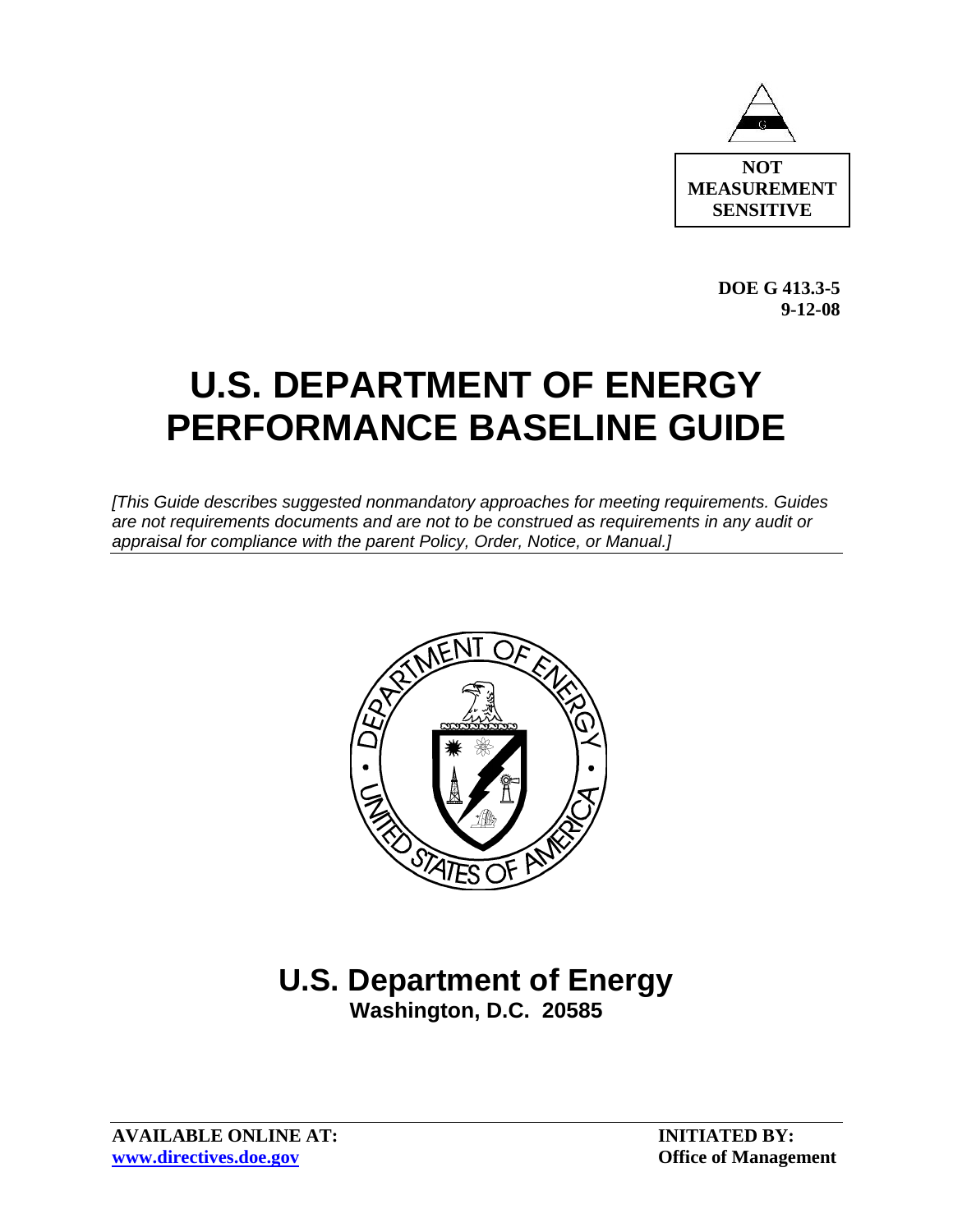

**DOE G 413.3-5 9-12-08** 

# **U.S. DEPARTMENT OF ENERGY PERFORMANCE BASELINE GUIDE**

*[This Guide describes suggested nonmandatory approaches for meeting requirements. Guides are not requirements documents and are not to be construed as requirements in any audit or appraisal for compliance with the parent Policy, Order, Notice, or Manual.]* 



# **U.S. Department of Energy Washington, D.C. 20585**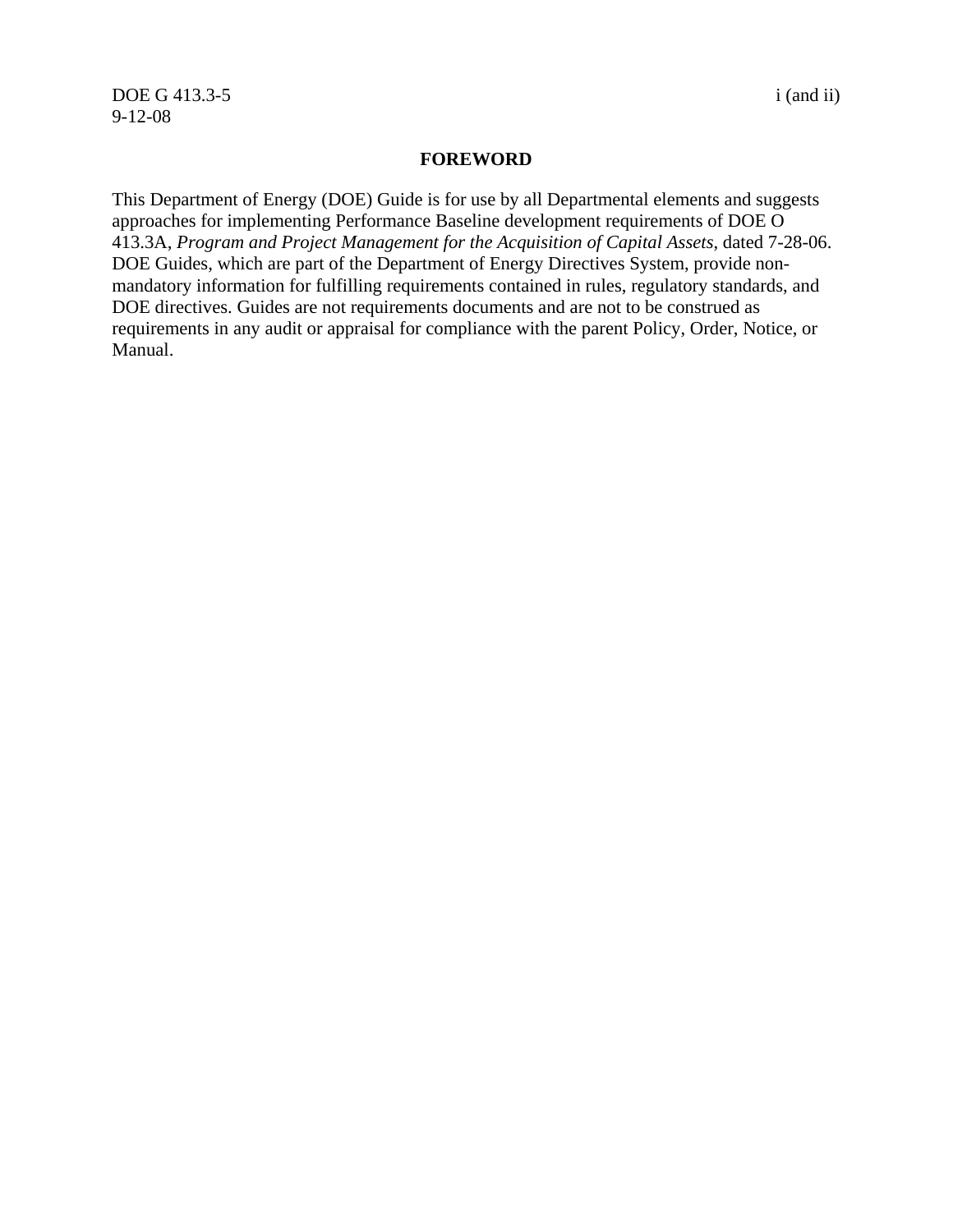#### **FOREWORD**

This Department of Energy (DOE) Guide is for use by all Departmental elements and suggests approaches for implementing Performance Baseline development requirements of DOE O 413.3A, *Program and Project Management for the Acquisition of Capital Assets*, dated 7-28-06. DOE Guides, which are part of the Department of Energy Directives System, provide nonmandatory information for fulfilling requirements contained in rules, regulatory standards, and DOE directives. Guides are not requirements documents and are not to be construed as requirements in any audit or appraisal for compliance with the parent Policy, Order, Notice, or Manual.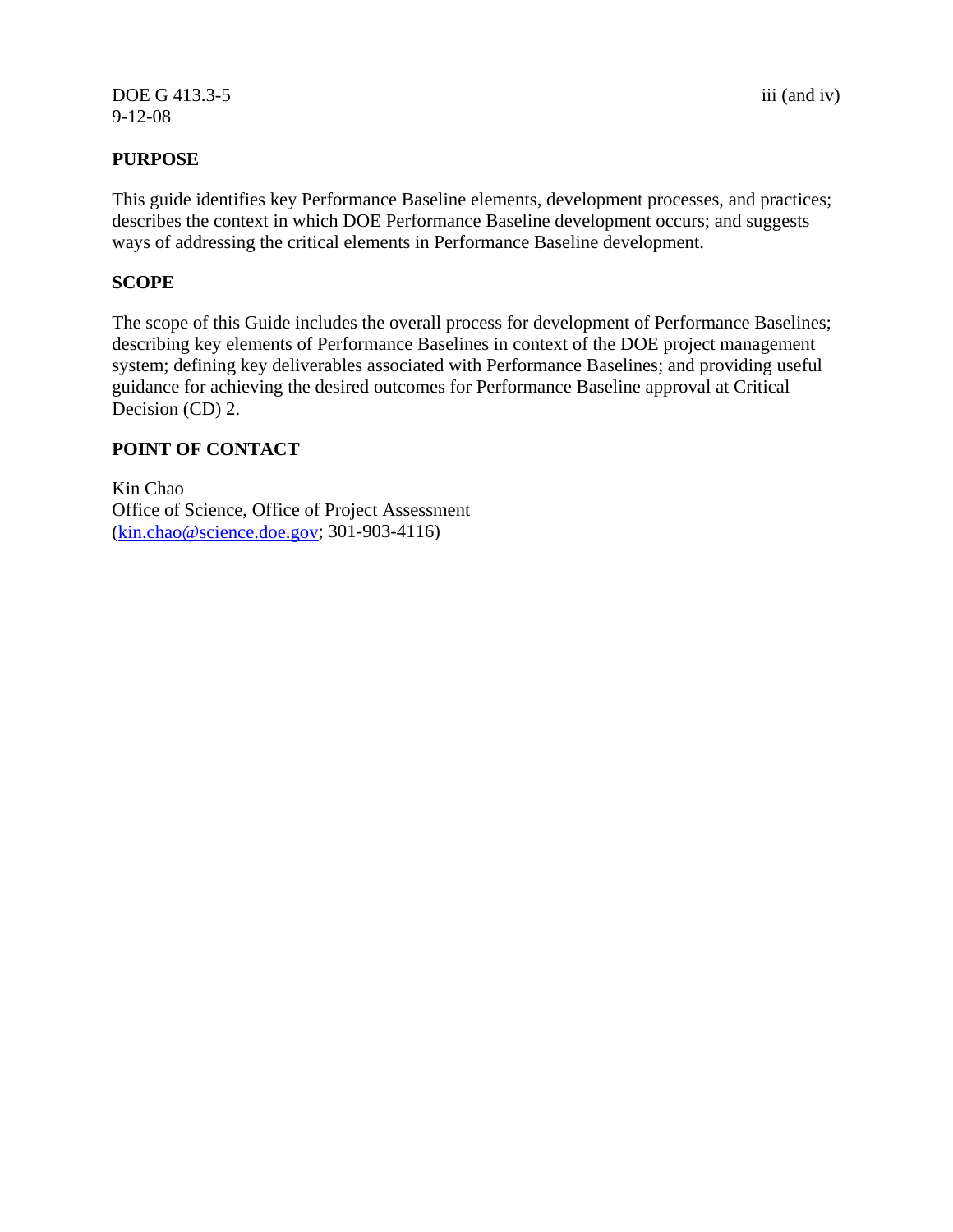DOE G 413.3-5 iii (and iv) 9-12-08

This guide identifies key Performance Baseline elements, development processes, and practices; describes the context in which DOE Performance Baseline development occurs; and suggests ways of addressing the critical elements in Performance Baseline development.

#### **SCOPE**

The scope of this Guide includes the overall process for development of Performance Baselines; describing key elements of Performance Baselines in context of the DOE project management system; defining key deliverables associated with Performance Baselines; and providing useful guidance for achieving the desired outcomes for Performance Baseline approval at Critical Decision (CD) 2.

#### **POINT OF CONTACT**

Kin Chao Office of Science, Office of Project Assessment (kin.chao@science.doe.gov; 301-903-4116)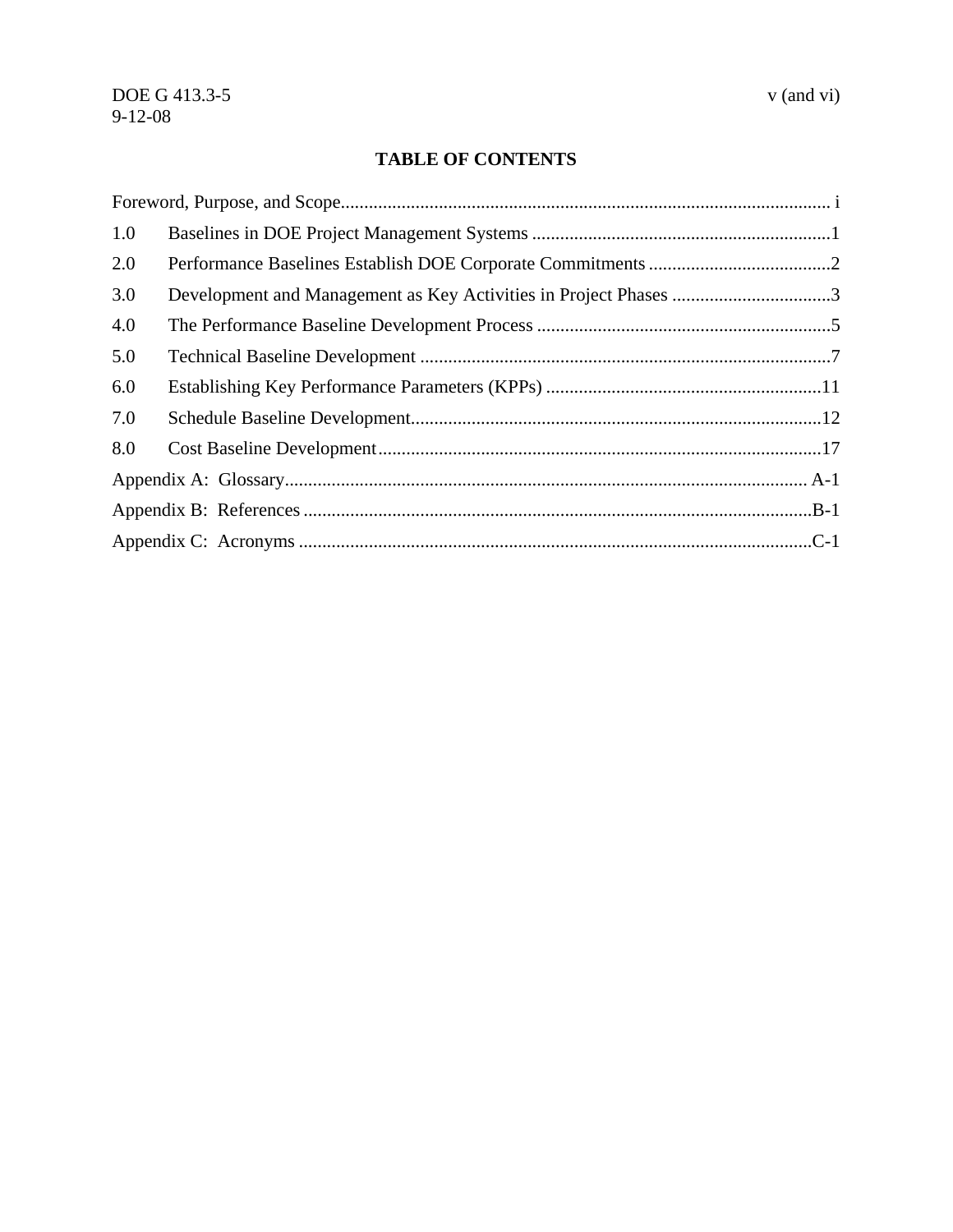# **TABLE OF CONTENTS**

| 1.0 |                                                                  |  |  |
|-----|------------------------------------------------------------------|--|--|
| 2.0 |                                                                  |  |  |
| 3.0 | Development and Management as Key Activities in Project Phases 3 |  |  |
| 4.0 |                                                                  |  |  |
| 5.0 |                                                                  |  |  |
| 6.0 |                                                                  |  |  |
| 7.0 |                                                                  |  |  |
| 8.0 |                                                                  |  |  |
|     |                                                                  |  |  |
|     |                                                                  |  |  |
|     |                                                                  |  |  |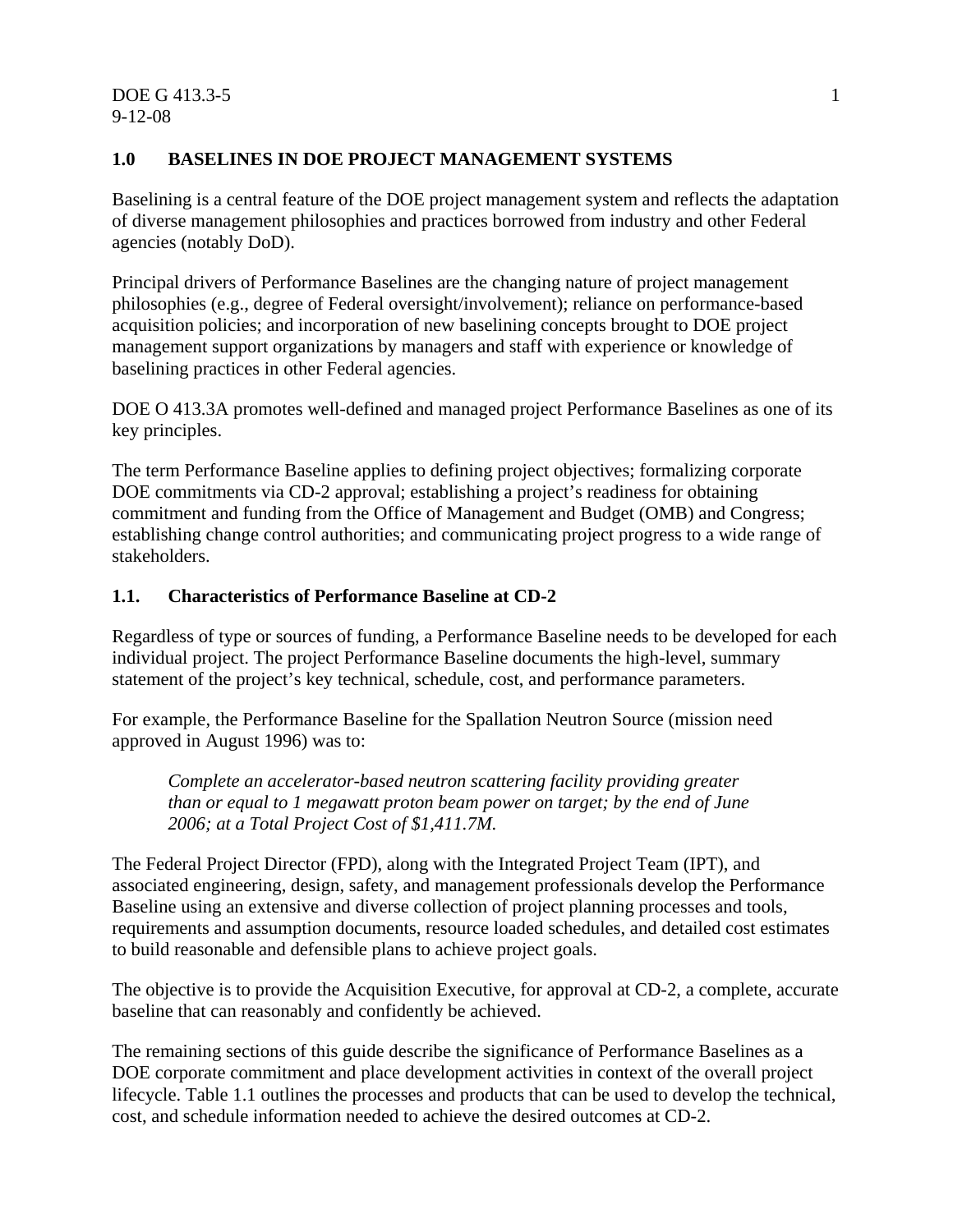## **1.0 BASELINES IN DOE PROJECT MANAGEMENT SYSTEMS**

Baselining is a central feature of the DOE project management system and reflects the adaptation of diverse management philosophies and practices borrowed from industry and other Federal agencies (notably DoD).

Principal drivers of Performance Baselines are the changing nature of project management philosophies (e.g., degree of Federal oversight/involvement); reliance on performance-based acquisition policies; and incorporation of new baselining concepts brought to DOE project management support organizations by managers and staff with experience or knowledge of baselining practices in other Federal agencies.

DOE O 413.3A promotes well-defined and managed project Performance Baselines as one of its key principles.

The term Performance Baseline applies to defining project objectives; formalizing corporate DOE commitments via CD-2 approval; establishing a project's readiness for obtaining commitment and funding from the Office of Management and Budget (OMB) and Congress; establishing change control authorities; and communicating project progress to a wide range of stakeholders.

# **1.1. Characteristics of Performance Baseline at CD-2**

Regardless of type or sources of funding, a Performance Baseline needs to be developed for each individual project. The project Performance Baseline documents the high-level, summary statement of the project's key technical, schedule, cost, and performance parameters.

For example, the Performance Baseline for the Spallation Neutron Source (mission need approved in August 1996) was to:

*Complete an accelerator-based neutron scattering facility providing greater than or equal to 1 megawatt proton beam power on target; by the end of June 2006; at a Total Project Cost of \$1,411.7M.* 

The Federal Project Director (FPD), along with the Integrated Project Team (IPT), and associated engineering, design, safety, and management professionals develop the Performance Baseline using an extensive and diverse collection of project planning processes and tools, requirements and assumption documents, resource loaded schedules, and detailed cost estimates to build reasonable and defensible plans to achieve project goals.

The objective is to provide the Acquisition Executive, for approval at CD-2, a complete, accurate baseline that can reasonably and confidently be achieved.

The remaining sections of this guide describe the significance of Performance Baselines as a DOE corporate commitment and place development activities in context of the overall project lifecycle. Table 1.1 outlines the processes and products that can be used to develop the technical, cost, and schedule information needed to achieve the desired outcomes at CD-2.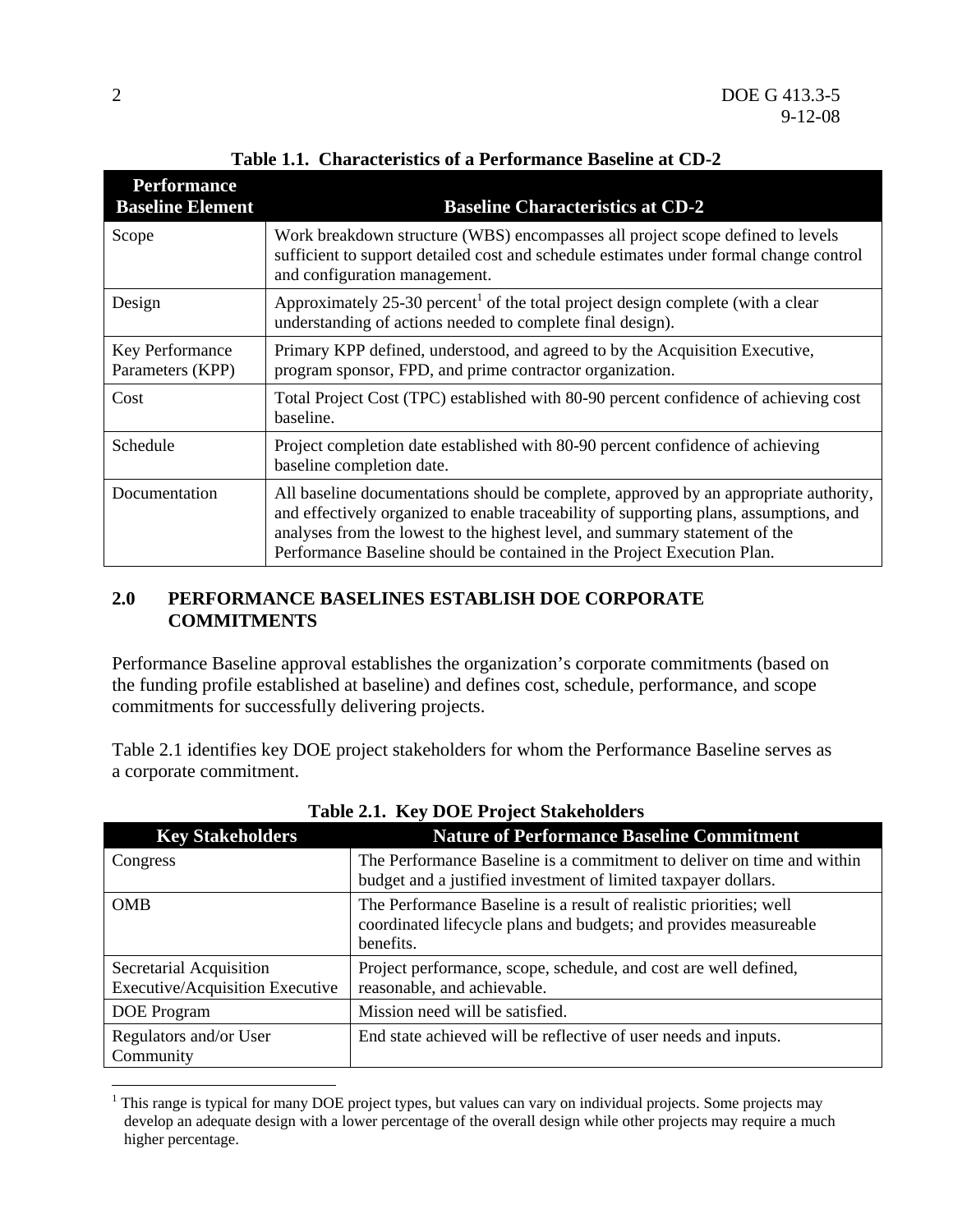| <b>Performance</b><br><b>Baseline Element</b> | <b>Baseline Characteristics at CD-2</b>                                                                                                                                                                                                                                                                                                   |
|-----------------------------------------------|-------------------------------------------------------------------------------------------------------------------------------------------------------------------------------------------------------------------------------------------------------------------------------------------------------------------------------------------|
| Scope                                         | Work breakdown structure (WBS) encompasses all project scope defined to levels<br>sufficient to support detailed cost and schedule estimates under formal change control<br>and configuration management.                                                                                                                                 |
| Design                                        | Approximately 25-30 percent <sup>1</sup> of the total project design complete (with a clear<br>understanding of actions needed to complete final design).                                                                                                                                                                                 |
| Key Performance<br>Parameters (KPP)           | Primary KPP defined, understood, and agreed to by the Acquisition Executive,<br>program sponsor, FPD, and prime contractor organization.                                                                                                                                                                                                  |
| Cost                                          | Total Project Cost (TPC) established with 80-90 percent confidence of achieving cost<br>baseline.                                                                                                                                                                                                                                         |
| Schedule                                      | Project completion date established with 80-90 percent confidence of achieving<br>baseline completion date.                                                                                                                                                                                                                               |
| Documentation                                 | All baseline documentations should be complete, approved by an appropriate authority,<br>and effectively organized to enable traceability of supporting plans, assumptions, and<br>analyses from the lowest to the highest level, and summary statement of the<br>Performance Baseline should be contained in the Project Execution Plan. |

**Table 1.1. Characteristics of a Performance Baseline at CD-2**

#### **2.0 PERFORMANCE BASELINES ESTABLISH DOE CORPORATE COMMITMENTS**

Performance Baseline approval establishes the organization's corporate commitments (based on the funding profile established at baseline) and defines cost, schedule, performance, and scope commitments for successfully delivering projects.

Table 2.1 identifies key DOE project stakeholders for whom the Performance Baseline serves as a corporate commitment.

| Table 2.1. Rev DOE IT0RCt Stakeholders                     |                                                                                                                                                      |  |  |  |
|------------------------------------------------------------|------------------------------------------------------------------------------------------------------------------------------------------------------|--|--|--|
| <b>Key Stakeholders</b>                                    | <b>Nature of Performance Baseline Commitment</b>                                                                                                     |  |  |  |
| Congress                                                   | The Performance Baseline is a commitment to deliver on time and within<br>budget and a justified investment of limited taxpayer dollars.             |  |  |  |
| <b>OMB</b>                                                 | The Performance Baseline is a result of realistic priorities; well<br>coordinated lifecycle plans and budgets; and provides measureable<br>benefits. |  |  |  |
| Secretarial Acquisition<br>Executive/Acquisition Executive | Project performance, scope, schedule, and cost are well defined,<br>reasonable, and achievable.                                                      |  |  |  |
| DOE Program                                                | Mission need will be satisfied.                                                                                                                      |  |  |  |
| Regulators and/or User<br>Community                        | End state achieved will be reflective of user needs and inputs.                                                                                      |  |  |  |

**Table 2.1. Key DOE Project Stakeholders** 

 $\overline{a}$ 

<sup>&</sup>lt;sup>1</sup> This range is typical for many DOE project types, but values can vary on individual projects. Some projects may develop an adequate design with a lower percentage of the overall design while other projects may require a much higher percentage.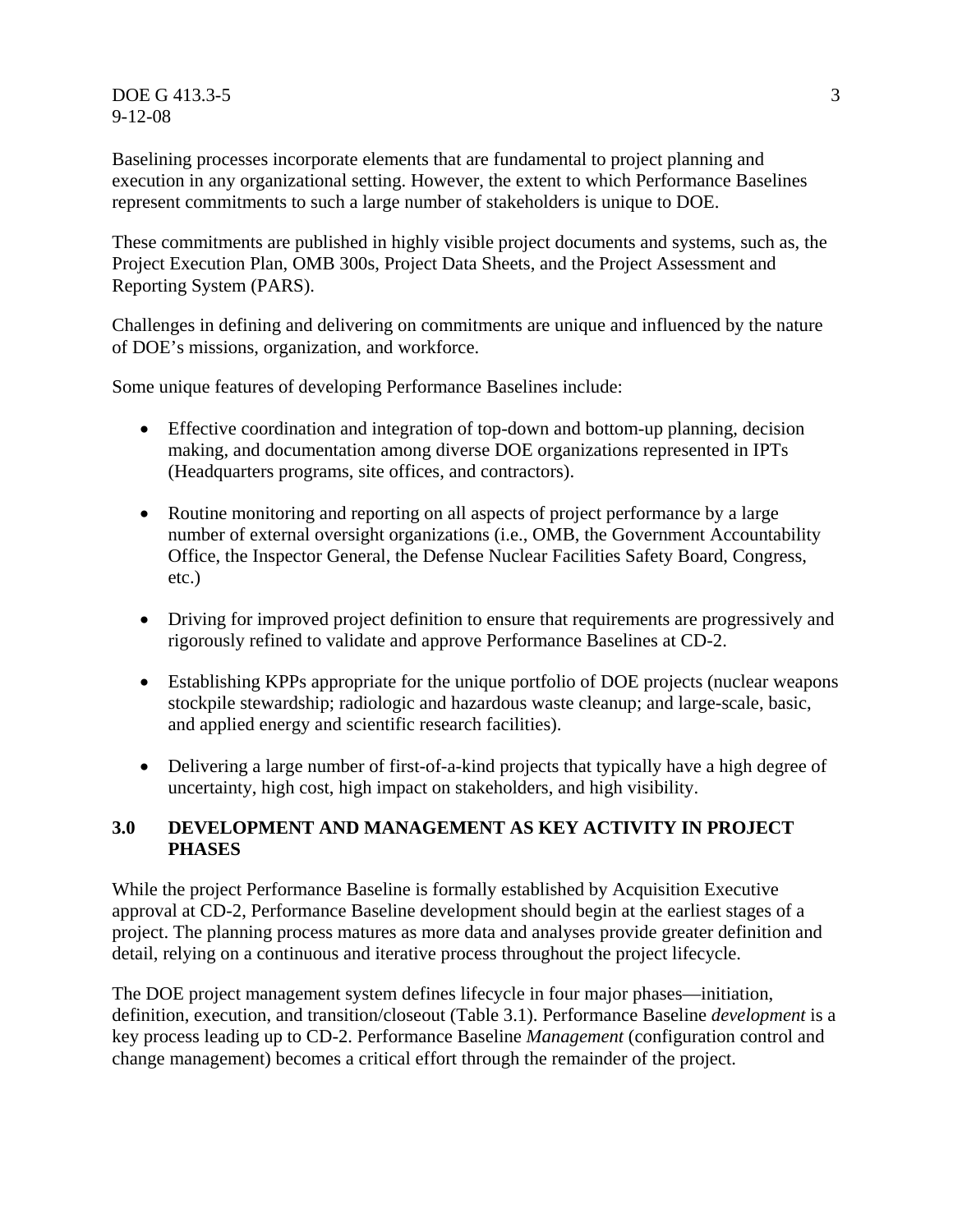$DOE G 413.3-5$  3 9-12-08

Baselining processes incorporate elements that are fundamental to project planning and execution in any organizational setting. However, the extent to which Performance Baselines represent commitments to such a large number of stakeholders is unique to DOE.

These commitments are published in highly visible project documents and systems, such as, the Project Execution Plan, OMB 300s, Project Data Sheets, and the Project Assessment and Reporting System (PARS).

Challenges in defining and delivering on commitments are unique and influenced by the nature of DOE's missions, organization, and workforce.

Some unique features of developing Performance Baselines include:

- Effective coordination and integration of top-down and bottom-up planning, decision making, and documentation among diverse DOE organizations represented in IPTs (Headquarters programs, site offices, and contractors).
- Routine monitoring and reporting on all aspects of project performance by a large number of external oversight organizations (i.e., OMB, the Government Accountability Office, the Inspector General, the Defense Nuclear Facilities Safety Board, Congress, etc.)
- Driving for improved project definition to ensure that requirements are progressively and rigorously refined to validate and approve Performance Baselines at CD-2.
- Establishing KPPs appropriate for the unique portfolio of DOE projects (nuclear weapons stockpile stewardship; radiologic and hazardous waste cleanup; and large-scale, basic, and applied energy and scientific research facilities).
- Delivering a large number of first-of-a-kind projects that typically have a high degree of uncertainty, high cost, high impact on stakeholders, and high visibility.

#### **3.0 DEVELOPMENT AND MANAGEMENT AS KEY ACTIVITY IN PROJECT PHASES**

While the project Performance Baseline is formally established by Acquisition Executive approval at CD-2, Performance Baseline development should begin at the earliest stages of a project. The planning process matures as more data and analyses provide greater definition and detail, relying on a continuous and iterative process throughout the project lifecycle.

The DOE project management system defines lifecycle in four major phases—initiation, definition, execution, and transition/closeout (Table 3.1). Performance Baseline *development* is a key process leading up to CD-2. Performance Baseline *Management* (configuration control and change management) becomes a critical effort through the remainder of the project.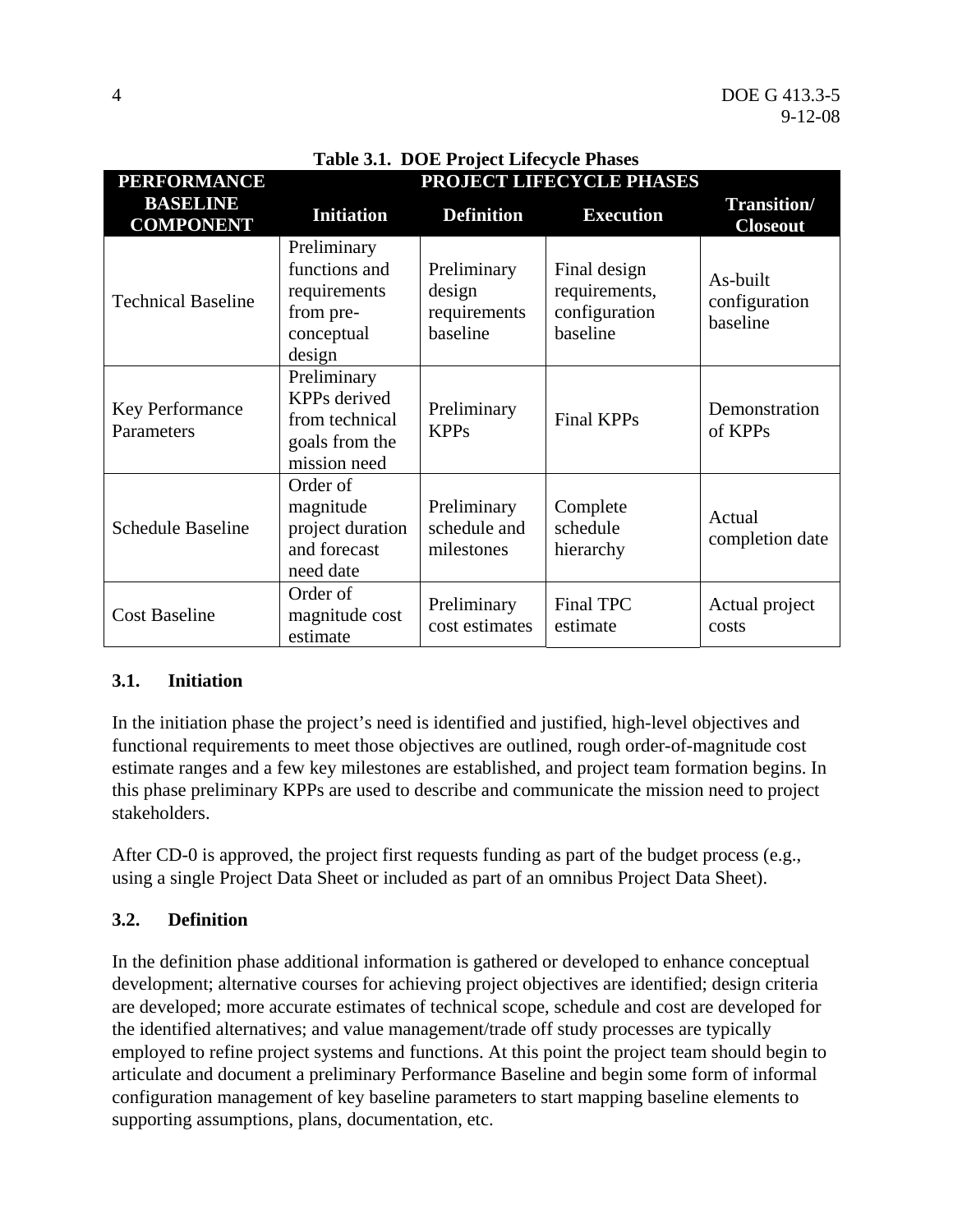| Table 3.1. DOE Project Lifecycle Phases |                                                                                        |                                                   |                                                            |                                       |  |  |
|-----------------------------------------|----------------------------------------------------------------------------------------|---------------------------------------------------|------------------------------------------------------------|---------------------------------------|--|--|
| <b>PERFORMANCE</b>                      | PROJECT LIFECYCLE PHASES                                                               |                                                   |                                                            |                                       |  |  |
| <b>BASELINE</b><br><b>COMPONENT</b>     | <b>Initiation</b>                                                                      | <b>Definition</b>                                 | <b>Execution</b>                                           | <b>Transition/</b><br><b>Closeout</b> |  |  |
| <b>Technical Baseline</b>               | Preliminary<br>functions and<br>requirements<br>from pre-<br>conceptual<br>design      | Preliminary<br>design<br>requirements<br>baseline | Final design<br>requirements,<br>configuration<br>baseline | As-built<br>configuration<br>baseline |  |  |
| <b>Key Performance</b><br>Parameters    | Preliminary<br><b>KPPs</b> derived<br>from technical<br>goals from the<br>mission need | Preliminary<br><b>KPPs</b>                        | <b>Final KPPs</b>                                          | Demonstration<br>of KPPs              |  |  |
| <b>Schedule Baseline</b>                | Order of<br>magnitude<br>project duration<br>and forecast<br>need date                 | Preliminary<br>schedule and<br>milestones         | Complete<br>schedule<br>hierarchy                          | Actual<br>completion date             |  |  |
| <b>Cost Baseline</b>                    | Order of<br>magnitude cost<br>estimate                                                 | Preliminary<br>cost estimates                     | Final TPC<br>estimate                                      | Actual project<br>costs               |  |  |

#### **3.1. Initiation**

In the initiation phase the project's need is identified and justified, high-level objectives and functional requirements to meet those objectives are outlined, rough order-of-magnitude cost estimate ranges and a few key milestones are established, and project team formation begins. In this phase preliminary KPPs are used to describe and communicate the mission need to project stakeholders.

After CD-0 is approved, the project first requests funding as part of the budget process (e.g., using a single Project Data Sheet or included as part of an omnibus Project Data Sheet).

#### **3.2. Definition**

In the definition phase additional information is gathered or developed to enhance conceptual development; alternative courses for achieving project objectives are identified; design criteria are developed; more accurate estimates of technical scope, schedule and cost are developed for the identified alternatives; and value management/trade off study processes are typically employed to refine project systems and functions. At this point the project team should begin to articulate and document a preliminary Performance Baseline and begin some form of informal configuration management of key baseline parameters to start mapping baseline elements to supporting assumptions, plans, documentation, etc.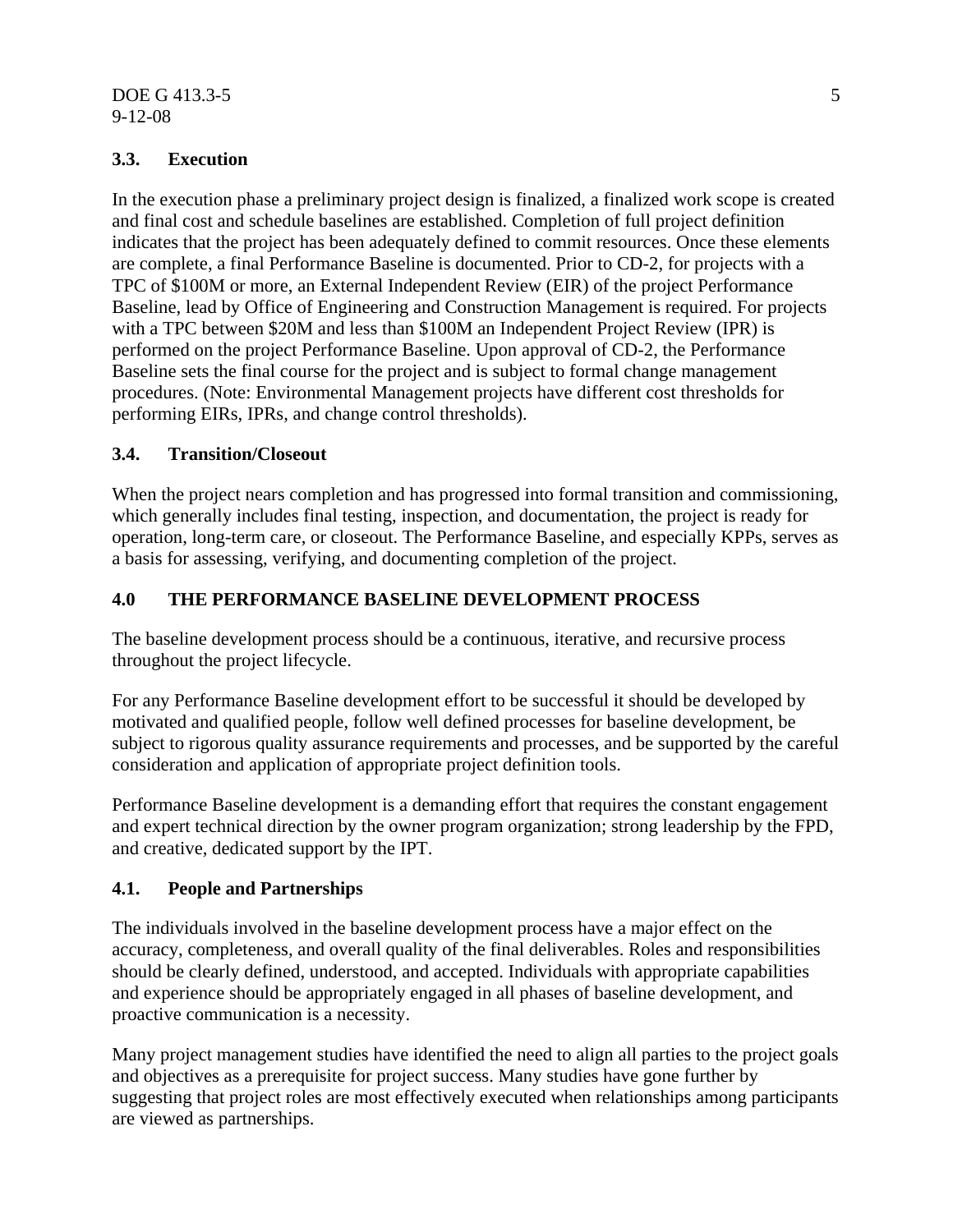#### $DOE G 413.3-5$  5 9-12-08

#### **3.3. Execution**

In the execution phase a preliminary project design is finalized, a finalized work scope is created and final cost and schedule baselines are established. Completion of full project definition indicates that the project has been adequately defined to commit resources. Once these elements are complete, a final Performance Baseline is documented. Prior to CD-2, for projects with a TPC of \$100M or more, an External Independent Review (EIR) of the project Performance Baseline, lead by Office of Engineering and Construction Management is required. For projects with a TPC between \$20M and less than \$100M an Independent Project Review (IPR) is performed on the project Performance Baseline. Upon approval of CD-2, the Performance Baseline sets the final course for the project and is subject to formal change management procedures. (Note: Environmental Management projects have different cost thresholds for performing EIRs, IPRs, and change control thresholds).

#### **3.4. Transition/Closeout**

When the project nears completion and has progressed into formal transition and commissioning, which generally includes final testing, inspection, and documentation, the project is ready for operation, long-term care, or closeout. The Performance Baseline, and especially KPPs, serves as a basis for assessing, verifying, and documenting completion of the project.

#### **4.0 THE PERFORMANCE BASELINE DEVELOPMENT PROCESS**

The baseline development process should be a continuous, iterative, and recursive process throughout the project lifecycle.

For any Performance Baseline development effort to be successful it should be developed by motivated and qualified people, follow well defined processes for baseline development, be subject to rigorous quality assurance requirements and processes, and be supported by the careful consideration and application of appropriate project definition tools.

Performance Baseline development is a demanding effort that requires the constant engagement and expert technical direction by the owner program organization; strong leadership by the FPD, and creative, dedicated support by the IPT.

#### **4.1. People and Partnerships**

The individuals involved in the baseline development process have a major effect on the accuracy, completeness, and overall quality of the final deliverables. Roles and responsibilities should be clearly defined, understood, and accepted. Individuals with appropriate capabilities and experience should be appropriately engaged in all phases of baseline development, and proactive communication is a necessity.

Many project management studies have identified the need to align all parties to the project goals and objectives as a prerequisite for project success. Many studies have gone further by suggesting that project roles are most effectively executed when relationships among participants are viewed as partnerships.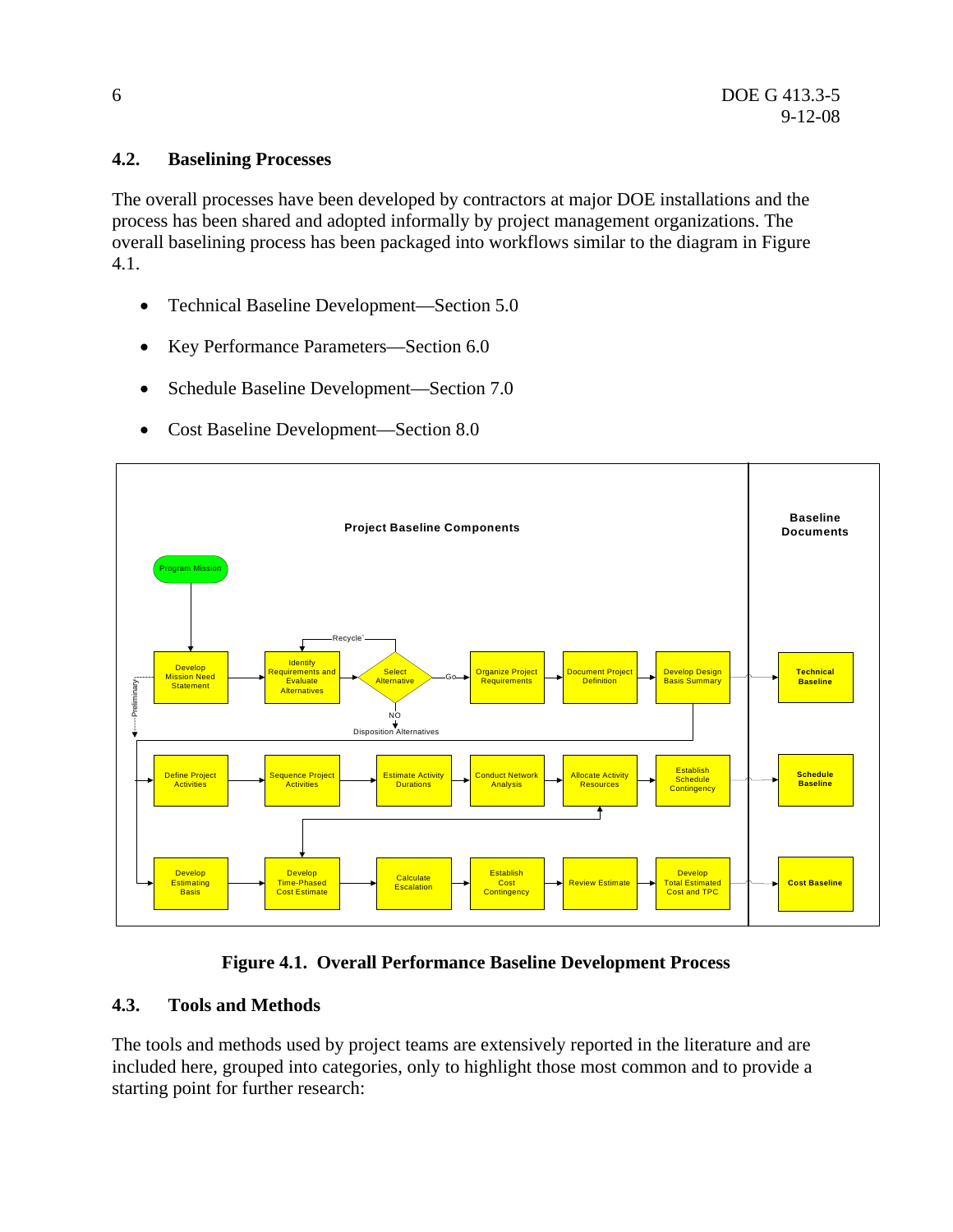#### **4.2. Baselining Processes**

The overall processes have been developed by contractors at major DOE installations and the process has been shared and adopted informally by project management organizations. The overall baselining process has been packaged into workflows similar to the diagram in Figure 4.1.

- Technical Baseline Development—Section 5.0
- Key Performance Parameters—Section 6.0
- Schedule Baseline Development—Section 7.0
- Cost Baseline Development—Section 8.0



#### **Figure 4.1. Overall Performance Baseline Development Process**

#### **4.3. Tools and Methods**

The tools and methods used by project teams are extensively reported in the literature and are included here, grouped into categories, only to highlight those most common and to provide a starting point for further research: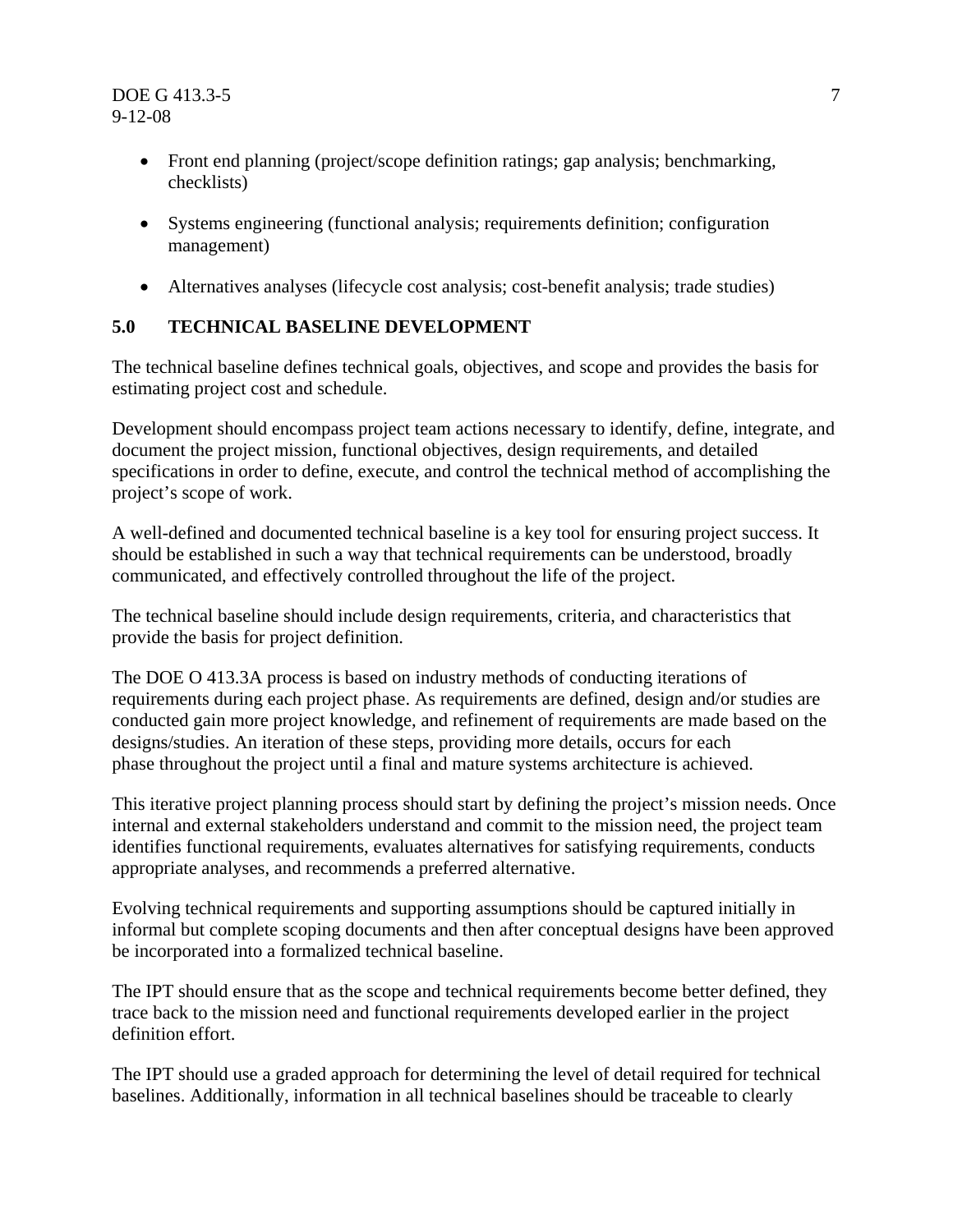- Front end planning (project/scope definition ratings; gap analysis; benchmarking, checklists)
- Systems engineering (functional analysis; requirements definition; configuration management)
- Alternatives analyses (lifecycle cost analysis; cost-benefit analysis; trade studies)

# **5.0 TECHNICAL BASELINE DEVELOPMENT**

The technical baseline defines technical goals, objectives, and scope and provides the basis for estimating project cost and schedule.

Development should encompass project team actions necessary to identify, define, integrate, and document the project mission, functional objectives, design requirements, and detailed specifications in order to define, execute, and control the technical method of accomplishing the project's scope of work.

A well-defined and documented technical baseline is a key tool for ensuring project success. It should be established in such a way that technical requirements can be understood, broadly communicated, and effectively controlled throughout the life of the project.

The technical baseline should include design requirements, criteria, and characteristics that provide the basis for project definition.

The DOE O 413.3A process is based on industry methods of conducting iterations of requirements during each project phase. As requirements are defined, design and/or studies are conducted gain more project knowledge, and refinement of requirements are made based on the designs/studies. An iteration of these steps, providing more details, occurs for each phase throughout the project until a final and mature systems architecture is achieved.

This iterative project planning process should start by defining the project's mission needs. Once internal and external stakeholders understand and commit to the mission need, the project team identifies functional requirements, evaluates alternatives for satisfying requirements, conducts appropriate analyses, and recommends a preferred alternative.

Evolving technical requirements and supporting assumptions should be captured initially in informal but complete scoping documents and then after conceptual designs have been approved be incorporated into a formalized technical baseline.

The IPT should ensure that as the scope and technical requirements become better defined, they trace back to the mission need and functional requirements developed earlier in the project definition effort.

The IPT should use a graded approach for determining the level of detail required for technical baselines. Additionally, information in all technical baselines should be traceable to clearly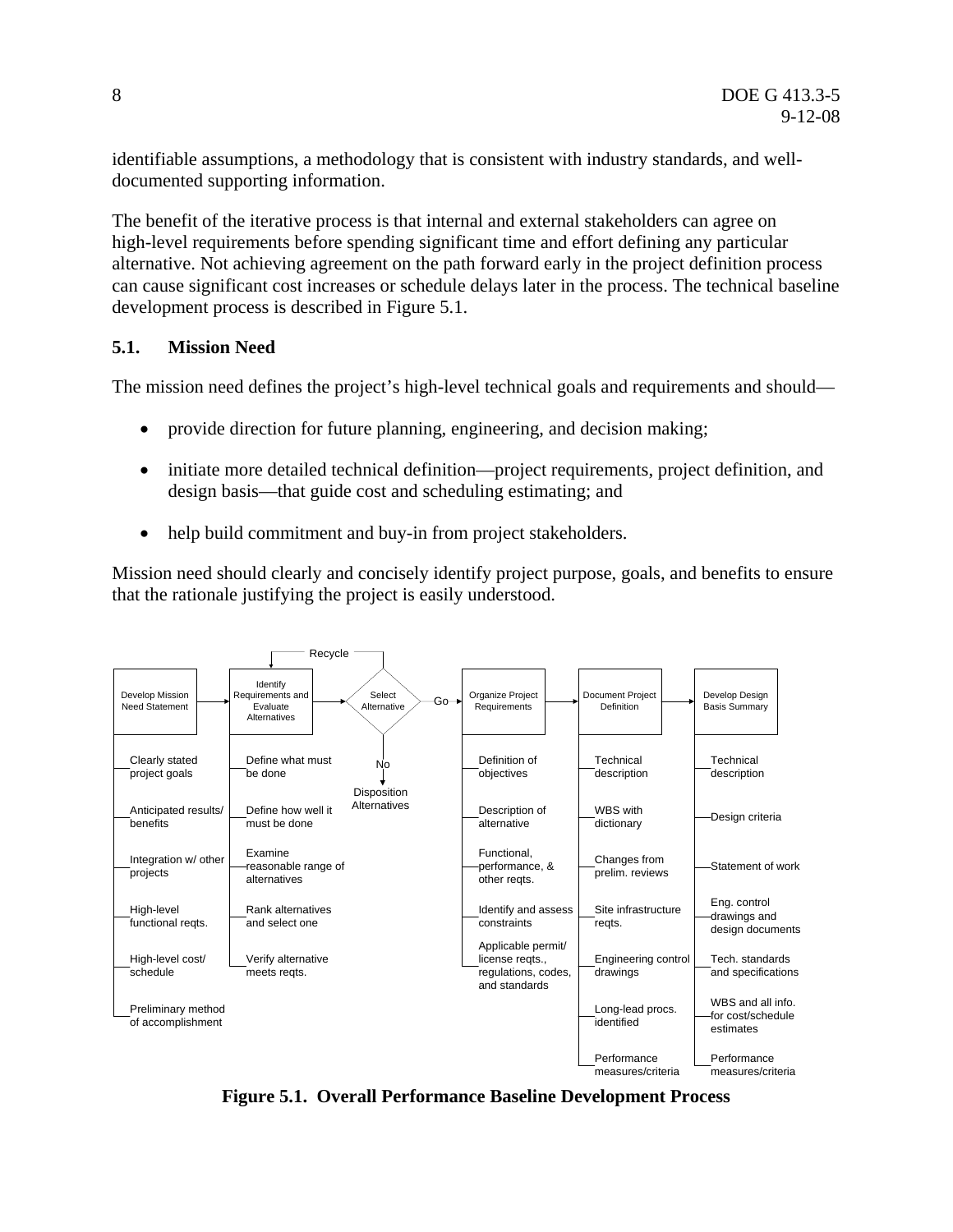identifiable assumptions, a methodology that is consistent with industry standards, and welldocumented supporting information.

The benefit of the iterative process is that internal and external stakeholders can agree on high-level requirements before spending significant time and effort defining any particular alternative. Not achieving agreement on the path forward early in the project definition process can cause significant cost increases or schedule delays later in the process. The technical baseline development process is described in Figure 5.1.

#### **5.1. Mission Need**

The mission need defines the project's high-level technical goals and requirements and should—

- provide direction for future planning, engineering, and decision making;
- initiate more detailed technical definition—project requirements, project definition, and design basis—that guide cost and scheduling estimating; and
- help build commitment and buy-in from project stakeholders.

Mission need should clearly and concisely identify project purpose, goals, and benefits to ensure that the rationale justifying the project is easily understood.



**Figure 5.1. Overall Performance Baseline Development Process**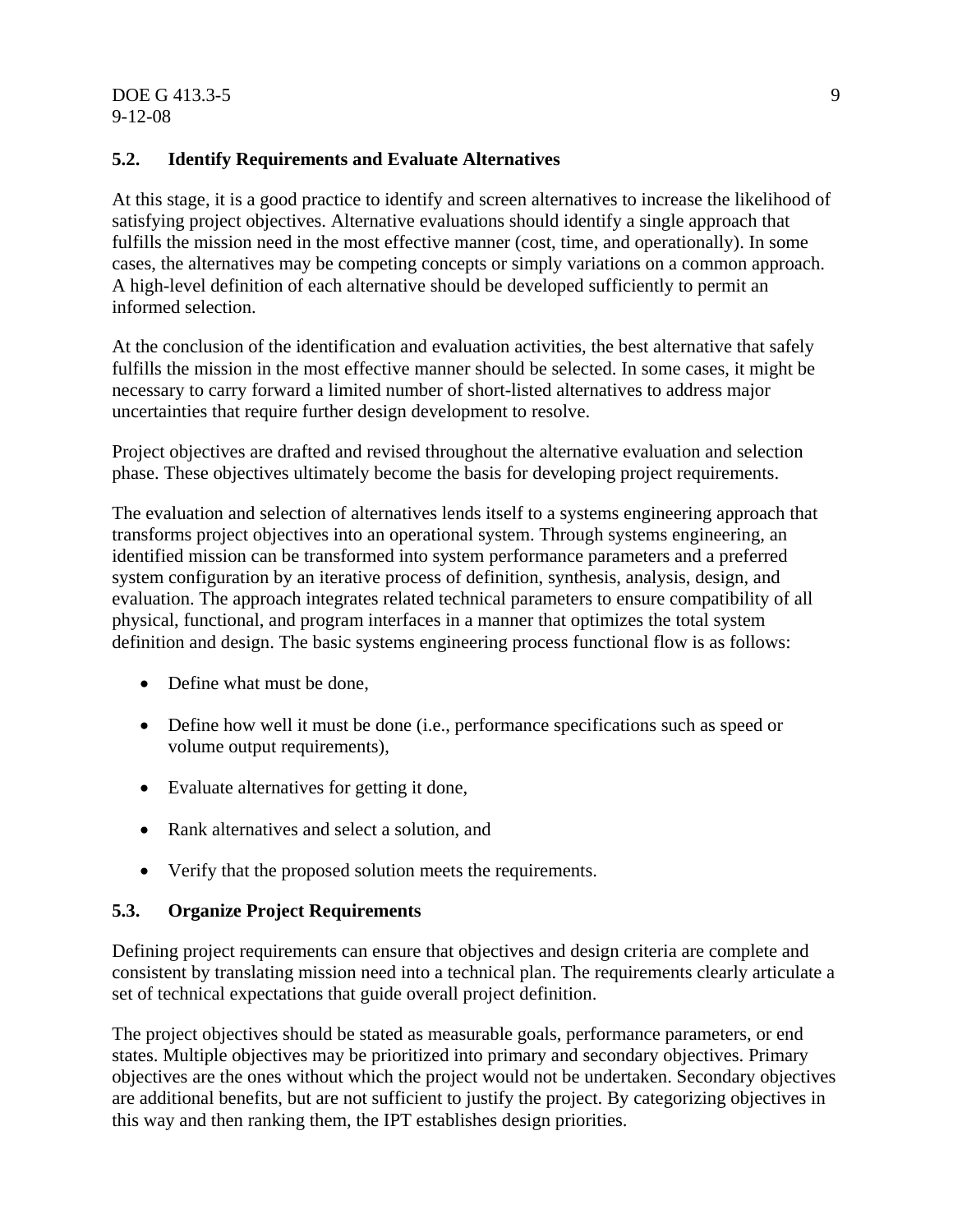#### DOE G 413.3-5 9 9-12-08

#### **5.2. Identify Requirements and Evaluate Alternatives**

At this stage, it is a good practice to identify and screen alternatives to increase the likelihood of satisfying project objectives. Alternative evaluations should identify a single approach that fulfills the mission need in the most effective manner (cost, time, and operationally). In some cases, the alternatives may be competing concepts or simply variations on a common approach. A high-level definition of each alternative should be developed sufficiently to permit an informed selection.

At the conclusion of the identification and evaluation activities, the best alternative that safely fulfills the mission in the most effective manner should be selected. In some cases, it might be necessary to carry forward a limited number of short-listed alternatives to address major uncertainties that require further design development to resolve.

Project objectives are drafted and revised throughout the alternative evaluation and selection phase. These objectives ultimately become the basis for developing project requirements.

The evaluation and selection of alternatives lends itself to a systems engineering approach that transforms project objectives into an operational system. Through systems engineering, an identified mission can be transformed into system performance parameters and a preferred system configuration by an iterative process of definition, synthesis, analysis, design, and evaluation. The approach integrates related technical parameters to ensure compatibility of all physical, functional, and program interfaces in a manner that optimizes the total system definition and design. The basic systems engineering process functional flow is as follows:

- Define what must be done,
- Define how well it must be done (i.e., performance specifications such as speed or volume output requirements),
- Evaluate alternatives for getting it done,
- Rank alternatives and select a solution, and
- Verify that the proposed solution meets the requirements.

#### **5.3. Organize Project Requirements**

Defining project requirements can ensure that objectives and design criteria are complete and consistent by translating mission need into a technical plan. The requirements clearly articulate a set of technical expectations that guide overall project definition.

The project objectives should be stated as measurable goals, performance parameters, or end states. Multiple objectives may be prioritized into primary and secondary objectives. Primary objectives are the ones without which the project would not be undertaken. Secondary objectives are additional benefits, but are not sufficient to justify the project. By categorizing objectives in this way and then ranking them, the IPT establishes design priorities.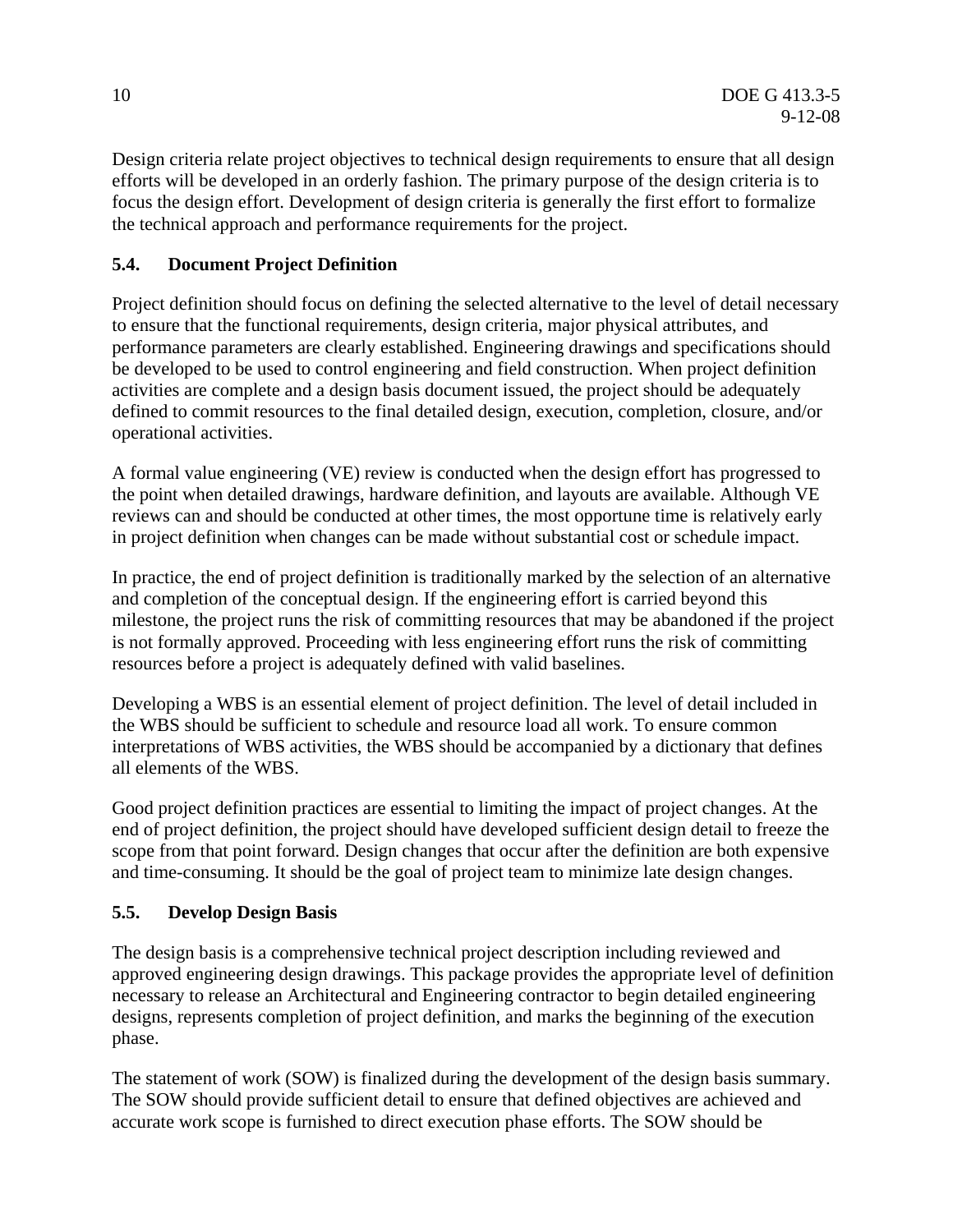Design criteria relate project objectives to technical design requirements to ensure that all design efforts will be developed in an orderly fashion. The primary purpose of the design criteria is to focus the design effort. Development of design criteria is generally the first effort to formalize the technical approach and performance requirements for the project.

# **5.4. Document Project Definition**

Project definition should focus on defining the selected alternative to the level of detail necessary to ensure that the functional requirements, design criteria, major physical attributes, and performance parameters are clearly established. Engineering drawings and specifications should be developed to be used to control engineering and field construction. When project definition activities are complete and a design basis document issued, the project should be adequately defined to commit resources to the final detailed design, execution, completion, closure, and/or operational activities.

A formal value engineering (VE) review is conducted when the design effort has progressed to the point when detailed drawings, hardware definition, and layouts are available. Although VE reviews can and should be conducted at other times, the most opportune time is relatively early in project definition when changes can be made without substantial cost or schedule impact.

In practice, the end of project definition is traditionally marked by the selection of an alternative and completion of the conceptual design. If the engineering effort is carried beyond this milestone, the project runs the risk of committing resources that may be abandoned if the project is not formally approved. Proceeding with less engineering effort runs the risk of committing resources before a project is adequately defined with valid baselines.

Developing a WBS is an essential element of project definition. The level of detail included in the WBS should be sufficient to schedule and resource load all work. To ensure common interpretations of WBS activities, the WBS should be accompanied by a dictionary that defines all elements of the WBS.

Good project definition practices are essential to limiting the impact of project changes. At the end of project definition, the project should have developed sufficient design detail to freeze the scope from that point forward. Design changes that occur after the definition are both expensive and time-consuming. It should be the goal of project team to minimize late design changes.

#### **5.5. Develop Design Basis**

The design basis is a comprehensive technical project description including reviewed and approved engineering design drawings. This package provides the appropriate level of definition necessary to release an Architectural and Engineering contractor to begin detailed engineering designs, represents completion of project definition, and marks the beginning of the execution phase.

The statement of work (SOW) is finalized during the development of the design basis summary. The SOW should provide sufficient detail to ensure that defined objectives are achieved and accurate work scope is furnished to direct execution phase efforts. The SOW should be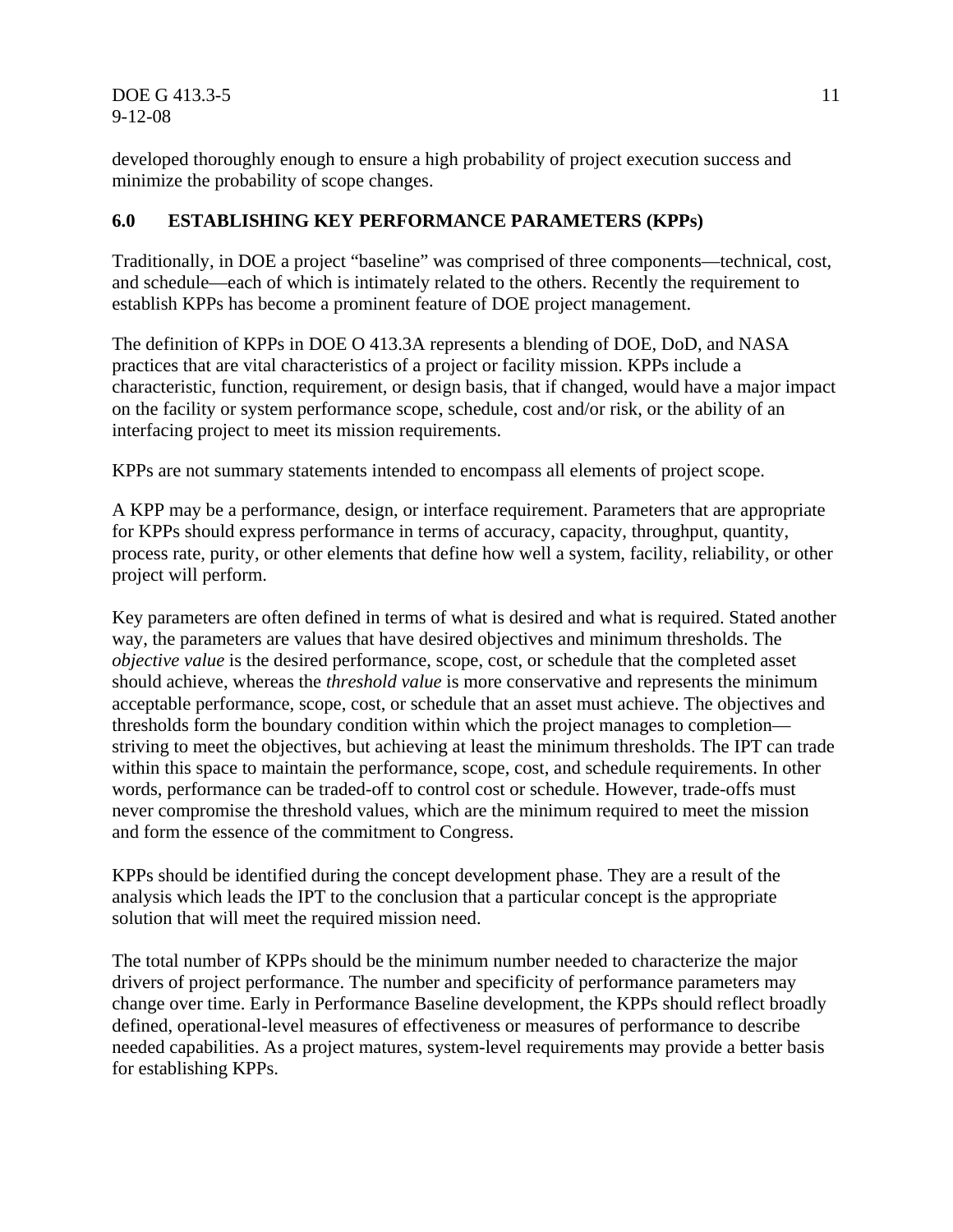**DOE G 413.3-5** 11 9-12-08

developed thoroughly enough to ensure a high probability of project execution success and minimize the probability of scope changes.

## **6.0 ESTABLISHING KEY PERFORMANCE PARAMETERS (KPPs)**

Traditionally, in DOE a project "baseline" was comprised of three components—technical, cost, and schedule—each of which is intimately related to the others. Recently the requirement to establish KPPs has become a prominent feature of DOE project management.

The definition of KPPs in DOE O 413.3A represents a blending of DOE, DoD, and NASA practices that are vital characteristics of a project or facility mission. KPPs include a characteristic, function, requirement, or design basis, that if changed, would have a major impact on the facility or system performance scope, schedule, cost and/or risk, or the ability of an interfacing project to meet its mission requirements.

KPPs are not summary statements intended to encompass all elements of project scope.

A KPP may be a performance, design, or interface requirement. Parameters that are appropriate for KPPs should express performance in terms of accuracy, capacity, throughput, quantity, process rate, purity, or other elements that define how well a system, facility, reliability, or other project will perform.

Key parameters are often defined in terms of what is desired and what is required. Stated another way, the parameters are values that have desired objectives and minimum thresholds. The *objective value* is the desired performance, scope, cost, or schedule that the completed asset should achieve, whereas the *threshold value* is more conservative and represents the minimum acceptable performance, scope, cost, or schedule that an asset must achieve. The objectives and thresholds form the boundary condition within which the project manages to completion striving to meet the objectives, but achieving at least the minimum thresholds. The IPT can trade within this space to maintain the performance, scope, cost, and schedule requirements. In other words, performance can be traded-off to control cost or schedule. However, trade-offs must never compromise the threshold values, which are the minimum required to meet the mission and form the essence of the commitment to Congress.

KPPs should be identified during the concept development phase. They are a result of the analysis which leads the IPT to the conclusion that a particular concept is the appropriate solution that will meet the required mission need.

The total number of KPPs should be the minimum number needed to characterize the major drivers of project performance. The number and specificity of performance parameters may change over time. Early in Performance Baseline development, the KPPs should reflect broadly defined, operational-level measures of effectiveness or measures of performance to describe needed capabilities. As a project matures, system-level requirements may provide a better basis for establishing KPPs.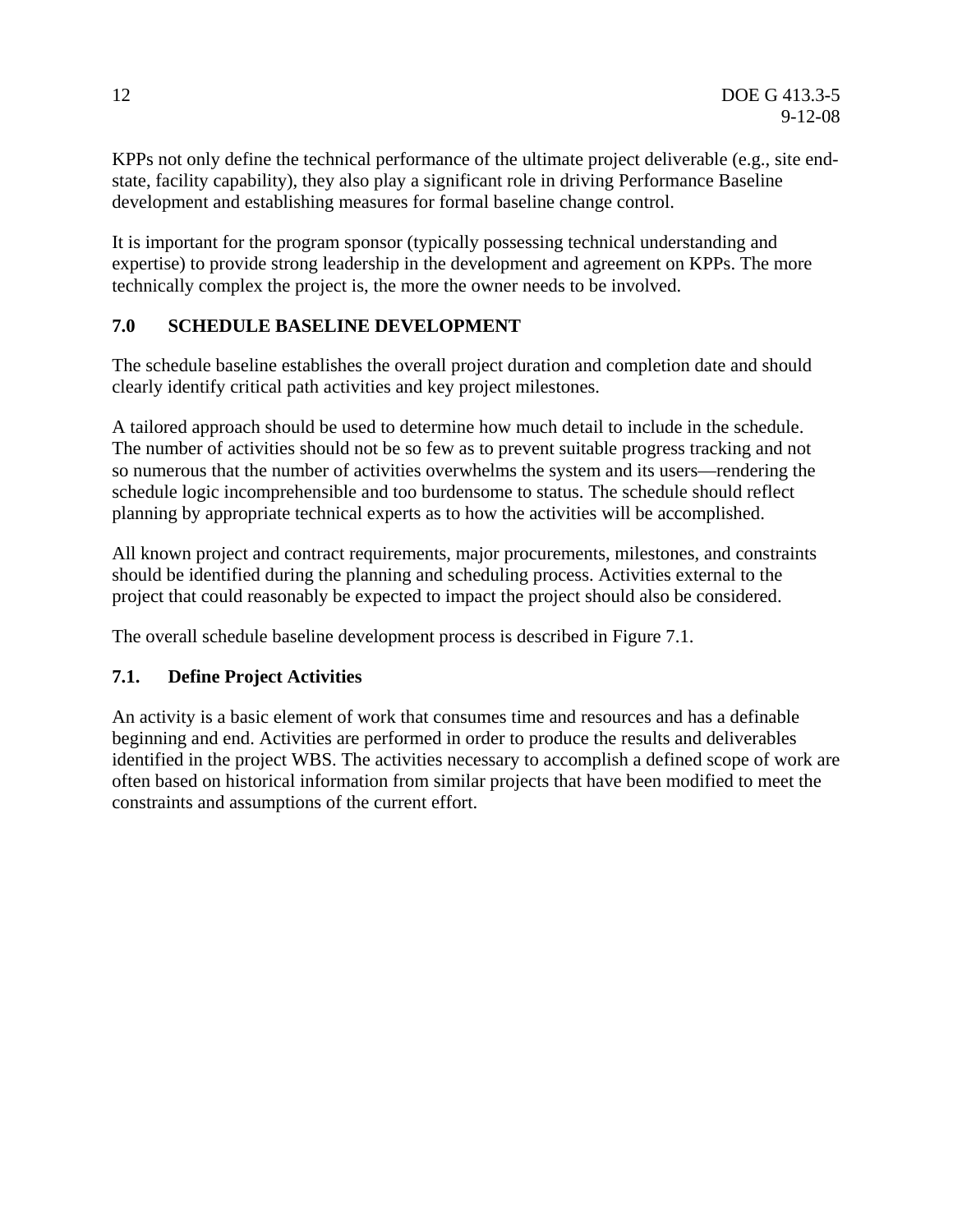KPPs not only define the technical performance of the ultimate project deliverable (e.g., site endstate, facility capability), they also play a significant role in driving Performance Baseline development and establishing measures for formal baseline change control.

It is important for the program sponsor (typically possessing technical understanding and expertise) to provide strong leadership in the development and agreement on KPPs. The more technically complex the project is, the more the owner needs to be involved.

# **7.0 SCHEDULE BASELINE DEVELOPMENT**

The schedule baseline establishes the overall project duration and completion date and should clearly identify critical path activities and key project milestones.

A tailored approach should be used to determine how much detail to include in the schedule. The number of activities should not be so few as to prevent suitable progress tracking and not so numerous that the number of activities overwhelms the system and its users—rendering the schedule logic incomprehensible and too burdensome to status. The schedule should reflect planning by appropriate technical experts as to how the activities will be accomplished.

All known project and contract requirements, major procurements, milestones, and constraints should be identified during the planning and scheduling process. Activities external to the project that could reasonably be expected to impact the project should also be considered.

The overall schedule baseline development process is described in Figure 7.1.

#### **7.1. Define Project Activities**

An activity is a basic element of work that consumes time and resources and has a definable beginning and end. Activities are performed in order to produce the results and deliverables identified in the project WBS. The activities necessary to accomplish a defined scope of work are often based on historical information from similar projects that have been modified to meet the constraints and assumptions of the current effort.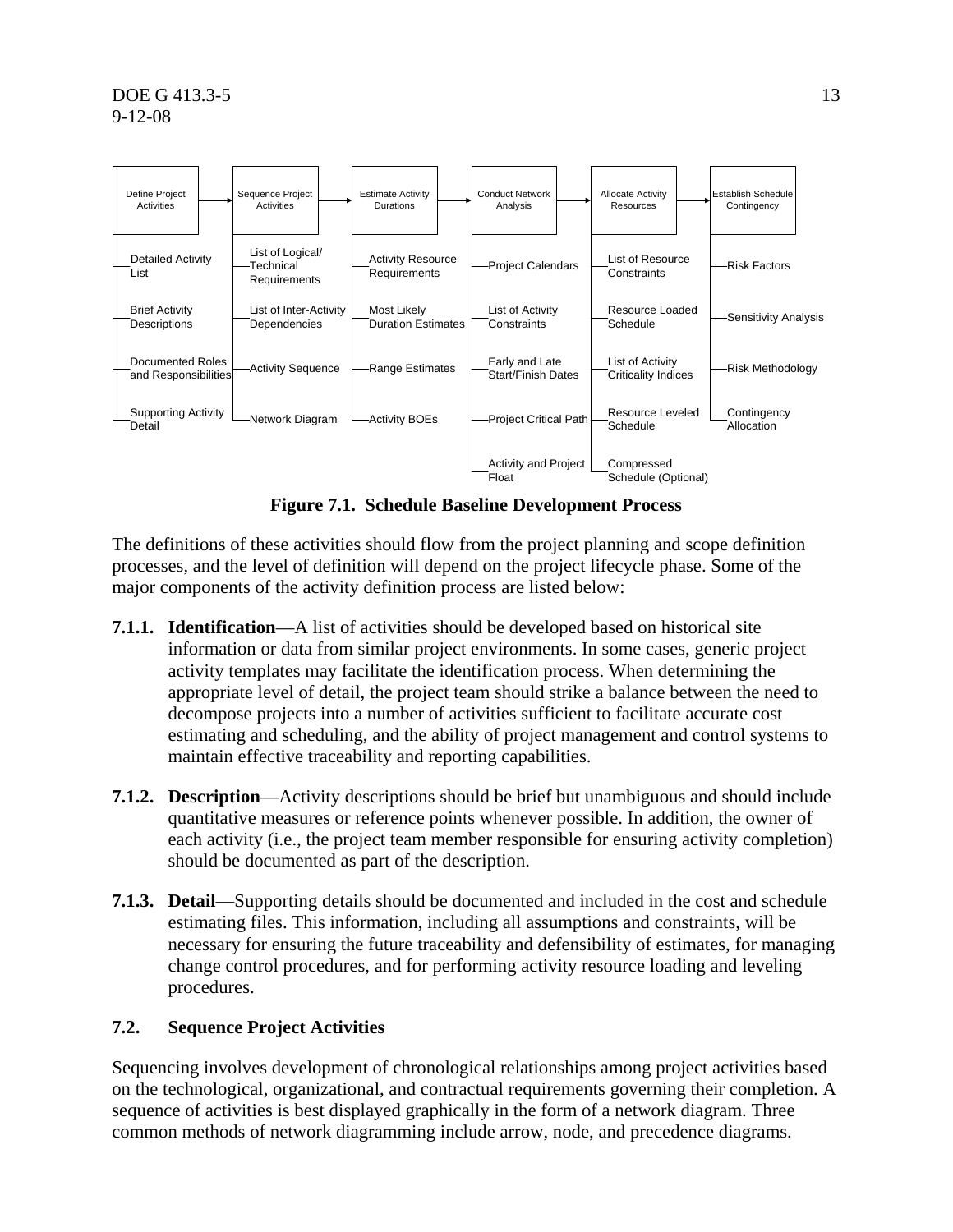

**Figure 7.1. Schedule Baseline Development Process** 

The definitions of these activities should flow from the project planning and scope definition processes, and the level of definition will depend on the project lifecycle phase. Some of the major components of the activity definition process are listed below:

- **7.1.1. Identification**—A list of activities should be developed based on historical site information or data from similar project environments. In some cases, generic project activity templates may facilitate the identification process. When determining the appropriate level of detail, the project team should strike a balance between the need to decompose projects into a number of activities sufficient to facilitate accurate cost estimating and scheduling, and the ability of project management and control systems to maintain effective traceability and reporting capabilities.
- **7.1.2. Description**—Activity descriptions should be brief but unambiguous and should include quantitative measures or reference points whenever possible. In addition, the owner of each activity (i.e., the project team member responsible for ensuring activity completion) should be documented as part of the description.
- **7.1.3. Detail**—Supporting details should be documented and included in the cost and schedule estimating files. This information, including all assumptions and constraints, will be necessary for ensuring the future traceability and defensibility of estimates, for managing change control procedures, and for performing activity resource loading and leveling procedures.

# **7.2. Sequence Project Activities**

Sequencing involves development of chronological relationships among project activities based on the technological, organizational, and contractual requirements governing their completion. A sequence of activities is best displayed graphically in the form of a network diagram. Three common methods of network diagramming include arrow, node, and precedence diagrams.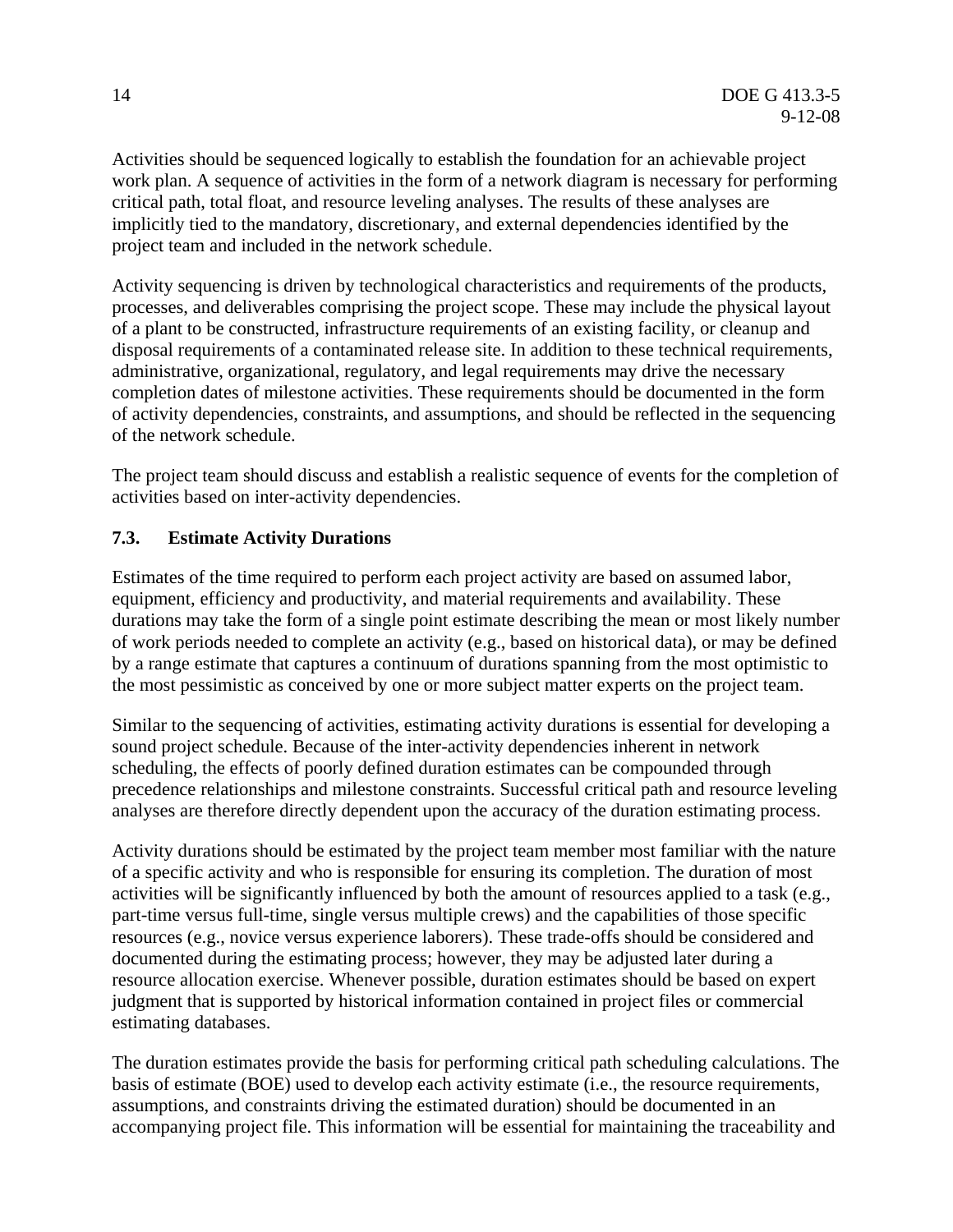Activities should be sequenced logically to establish the foundation for an achievable project work plan. A sequence of activities in the form of a network diagram is necessary for performing critical path, total float, and resource leveling analyses. The results of these analyses are implicitly tied to the mandatory, discretionary, and external dependencies identified by the project team and included in the network schedule.

Activity sequencing is driven by technological characteristics and requirements of the products, processes, and deliverables comprising the project scope. These may include the physical layout of a plant to be constructed, infrastructure requirements of an existing facility, or cleanup and disposal requirements of a contaminated release site. In addition to these technical requirements, administrative, organizational, regulatory, and legal requirements may drive the necessary completion dates of milestone activities. These requirements should be documented in the form of activity dependencies, constraints, and assumptions, and should be reflected in the sequencing of the network schedule.

The project team should discuss and establish a realistic sequence of events for the completion of activities based on inter-activity dependencies.

# **7.3. Estimate Activity Durations**

Estimates of the time required to perform each project activity are based on assumed labor, equipment, efficiency and productivity, and material requirements and availability. These durations may take the form of a single point estimate describing the mean or most likely number of work periods needed to complete an activity (e.g., based on historical data), or may be defined by a range estimate that captures a continuum of durations spanning from the most optimistic to the most pessimistic as conceived by one or more subject matter experts on the project team.

Similar to the sequencing of activities, estimating activity durations is essential for developing a sound project schedule. Because of the inter-activity dependencies inherent in network scheduling, the effects of poorly defined duration estimates can be compounded through precedence relationships and milestone constraints. Successful critical path and resource leveling analyses are therefore directly dependent upon the accuracy of the duration estimating process.

Activity durations should be estimated by the project team member most familiar with the nature of a specific activity and who is responsible for ensuring its completion. The duration of most activities will be significantly influenced by both the amount of resources applied to a task (e.g., part-time versus full-time, single versus multiple crews) and the capabilities of those specific resources (e.g., novice versus experience laborers). These trade-offs should be considered and documented during the estimating process; however, they may be adjusted later during a resource allocation exercise. Whenever possible, duration estimates should be based on expert judgment that is supported by historical information contained in project files or commercial estimating databases.

The duration estimates provide the basis for performing critical path scheduling calculations. The basis of estimate (BOE) used to develop each activity estimate (i.e., the resource requirements, assumptions, and constraints driving the estimated duration) should be documented in an accompanying project file. This information will be essential for maintaining the traceability and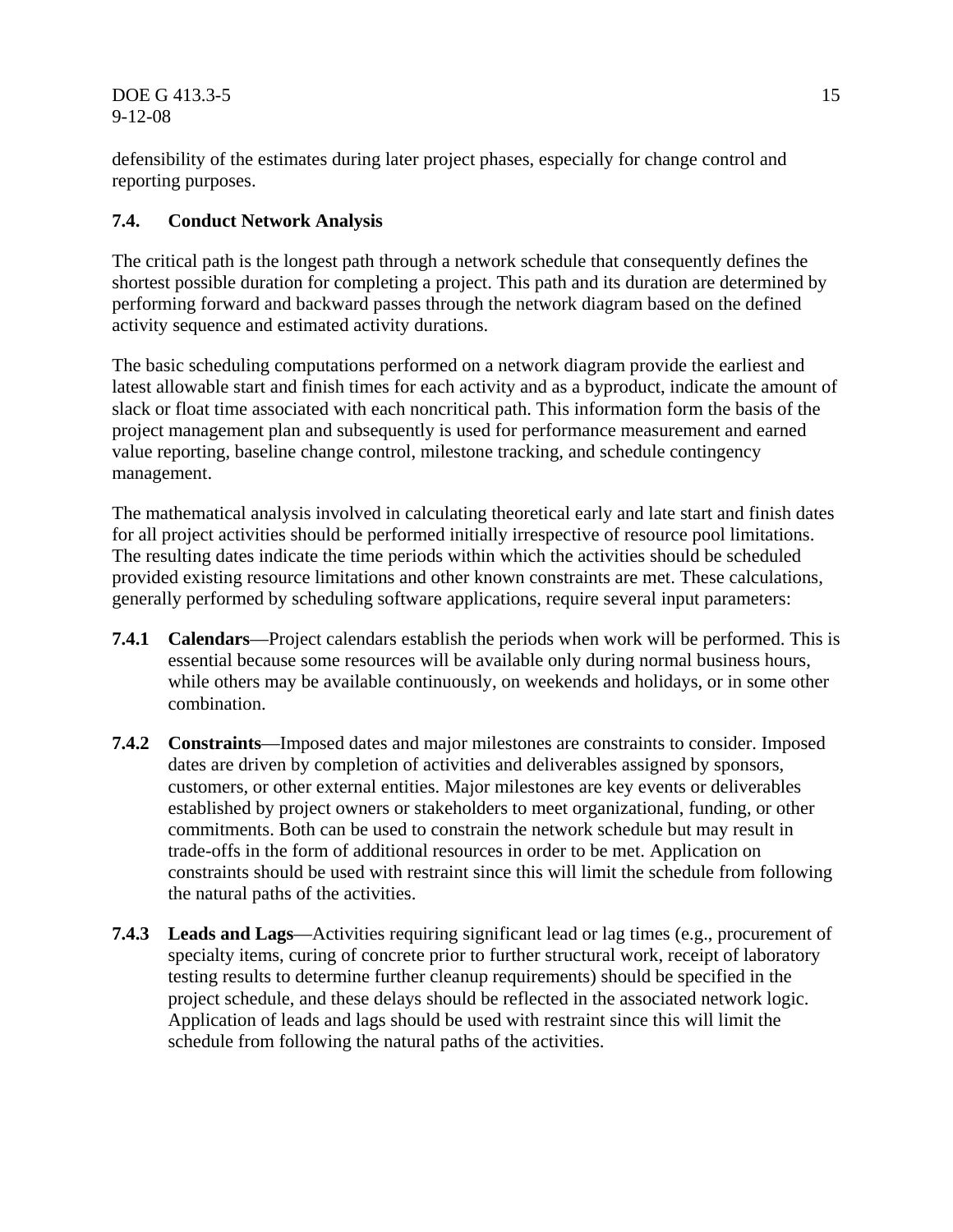$\overline{DOE}$  G 413.3-5 15 9-12-08

defensibility of the estimates during later project phases, especially for change control and reporting purposes.

# **7.4. Conduct Network Analysis**

The critical path is the longest path through a network schedule that consequently defines the shortest possible duration for completing a project. This path and its duration are determined by performing forward and backward passes through the network diagram based on the defined activity sequence and estimated activity durations.

The basic scheduling computations performed on a network diagram provide the earliest and latest allowable start and finish times for each activity and as a byproduct, indicate the amount of slack or float time associated with each noncritical path. This information form the basis of the project management plan and subsequently is used for performance measurement and earned value reporting, baseline change control, milestone tracking, and schedule contingency management.

The mathematical analysis involved in calculating theoretical early and late start and finish dates for all project activities should be performed initially irrespective of resource pool limitations. The resulting dates indicate the time periods within which the activities should be scheduled provided existing resource limitations and other known constraints are met. These calculations, generally performed by scheduling software applications, require several input parameters:

- **7.4.1 Calendars**—Project calendars establish the periods when work will be performed. This is essential because some resources will be available only during normal business hours, while others may be available continuously, on weekends and holidays, or in some other combination.
- **7.4.2 Constraints**—Imposed dates and major milestones are constraints to consider. Imposed dates are driven by completion of activities and deliverables assigned by sponsors, customers, or other external entities. Major milestones are key events or deliverables established by project owners or stakeholders to meet organizational, funding, or other commitments. Both can be used to constrain the network schedule but may result in trade-offs in the form of additional resources in order to be met. Application on constraints should be used with restraint since this will limit the schedule from following the natural paths of the activities.
- **7.4.3 Leads and Lags**—Activities requiring significant lead or lag times (e.g., procurement of specialty items, curing of concrete prior to further structural work, receipt of laboratory testing results to determine further cleanup requirements) should be specified in the project schedule, and these delays should be reflected in the associated network logic. Application of leads and lags should be used with restraint since this will limit the schedule from following the natural paths of the activities.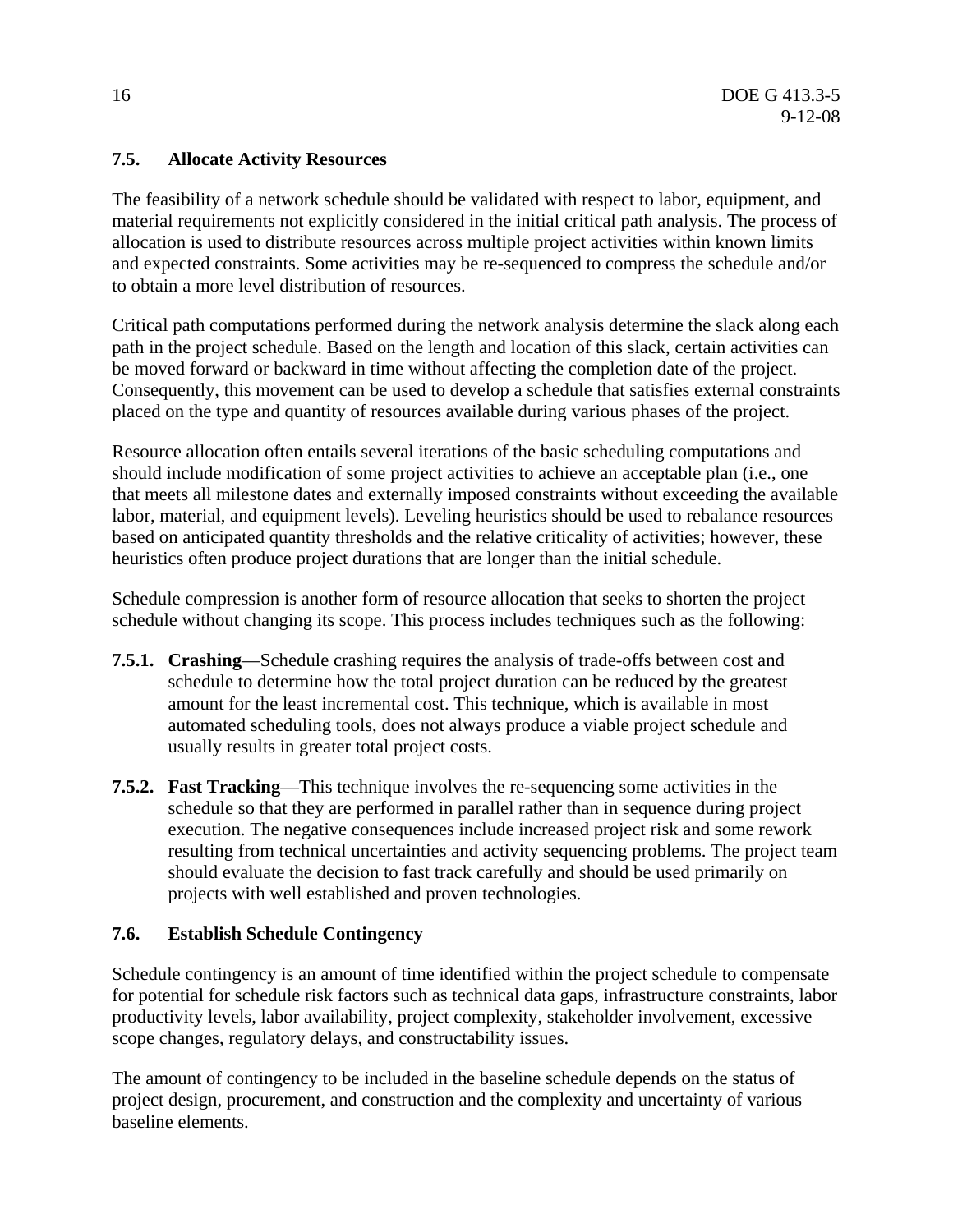# **7.5. Allocate Activity Resources**

The feasibility of a network schedule should be validated with respect to labor, equipment, and material requirements not explicitly considered in the initial critical path analysis. The process of allocation is used to distribute resources across multiple project activities within known limits and expected constraints. Some activities may be re-sequenced to compress the schedule and/or to obtain a more level distribution of resources.

Critical path computations performed during the network analysis determine the slack along each path in the project schedule. Based on the length and location of this slack, certain activities can be moved forward or backward in time without affecting the completion date of the project. Consequently, this movement can be used to develop a schedule that satisfies external constraints placed on the type and quantity of resources available during various phases of the project.

Resource allocation often entails several iterations of the basic scheduling computations and should include modification of some project activities to achieve an acceptable plan (i.e., one that meets all milestone dates and externally imposed constraints without exceeding the available labor, material, and equipment levels). Leveling heuristics should be used to rebalance resources based on anticipated quantity thresholds and the relative criticality of activities; however, these heuristics often produce project durations that are longer than the initial schedule.

Schedule compression is another form of resource allocation that seeks to shorten the project schedule without changing its scope. This process includes techniques such as the following:

- **7.5.1. Crashing**—Schedule crashing requires the analysis of trade-offs between cost and schedule to determine how the total project duration can be reduced by the greatest amount for the least incremental cost. This technique, which is available in most automated scheduling tools, does not always produce a viable project schedule and usually results in greater total project costs.
- **7.5.2. Fast Tracking**—This technique involves the re-sequencing some activities in the schedule so that they are performed in parallel rather than in sequence during project execution. The negative consequences include increased project risk and some rework resulting from technical uncertainties and activity sequencing problems. The project team should evaluate the decision to fast track carefully and should be used primarily on projects with well established and proven technologies.

# **7.6. Establish Schedule Contingency**

Schedule contingency is an amount of time identified within the project schedule to compensate for potential for schedule risk factors such as technical data gaps, infrastructure constraints, labor productivity levels, labor availability, project complexity, stakeholder involvement, excessive scope changes, regulatory delays, and constructability issues.

The amount of contingency to be included in the baseline schedule depends on the status of project design, procurement, and construction and the complexity and uncertainty of various baseline elements.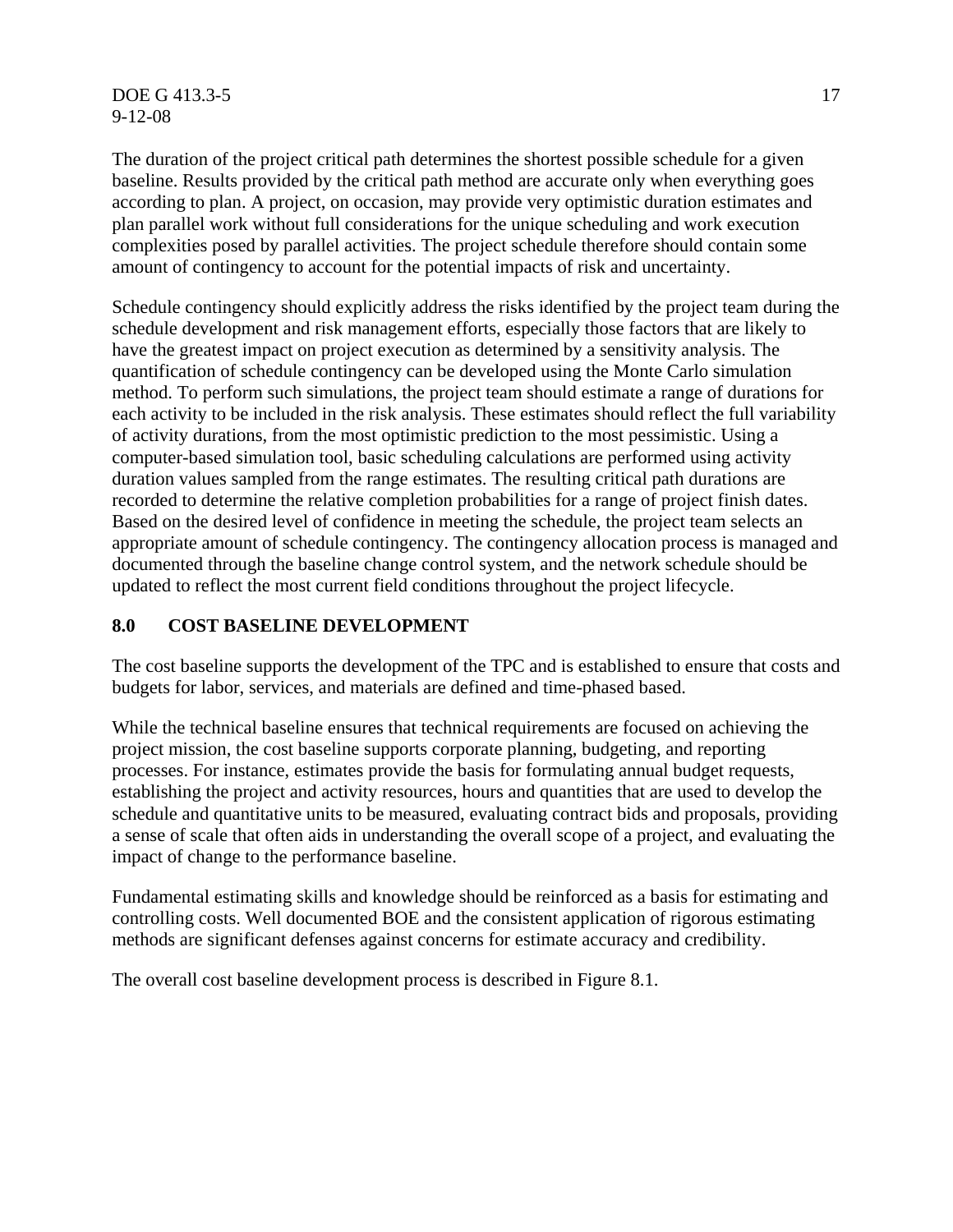**DOE G 413.3-5** 17 9-12-08

The duration of the project critical path determines the shortest possible schedule for a given baseline. Results provided by the critical path method are accurate only when everything goes according to plan. A project, on occasion, may provide very optimistic duration estimates and plan parallel work without full considerations for the unique scheduling and work execution complexities posed by parallel activities. The project schedule therefore should contain some amount of contingency to account for the potential impacts of risk and uncertainty.

Schedule contingency should explicitly address the risks identified by the project team during the schedule development and risk management efforts, especially those factors that are likely to have the greatest impact on project execution as determined by a sensitivity analysis. The quantification of schedule contingency can be developed using the Monte Carlo simulation method. To perform such simulations, the project team should estimate a range of durations for each activity to be included in the risk analysis. These estimates should reflect the full variability of activity durations, from the most optimistic prediction to the most pessimistic. Using a computer-based simulation tool, basic scheduling calculations are performed using activity duration values sampled from the range estimates. The resulting critical path durations are recorded to determine the relative completion probabilities for a range of project finish dates. Based on the desired level of confidence in meeting the schedule, the project team selects an appropriate amount of schedule contingency. The contingency allocation process is managed and documented through the baseline change control system, and the network schedule should be updated to reflect the most current field conditions throughout the project lifecycle.

#### **8.0 COST BASELINE DEVELOPMENT**

The cost baseline supports the development of the TPC and is established to ensure that costs and budgets for labor, services, and materials are defined and time-phased based.

While the technical baseline ensures that technical requirements are focused on achieving the project mission, the cost baseline supports corporate planning, budgeting, and reporting processes. For instance, estimates provide the basis for formulating annual budget requests, establishing the project and activity resources, hours and quantities that are used to develop the schedule and quantitative units to be measured, evaluating contract bids and proposals, providing a sense of scale that often aids in understanding the overall scope of a project, and evaluating the impact of change to the performance baseline.

Fundamental estimating skills and knowledge should be reinforced as a basis for estimating and controlling costs. Well documented BOE and the consistent application of rigorous estimating methods are significant defenses against concerns for estimate accuracy and credibility.

The overall cost baseline development process is described in Figure 8.1.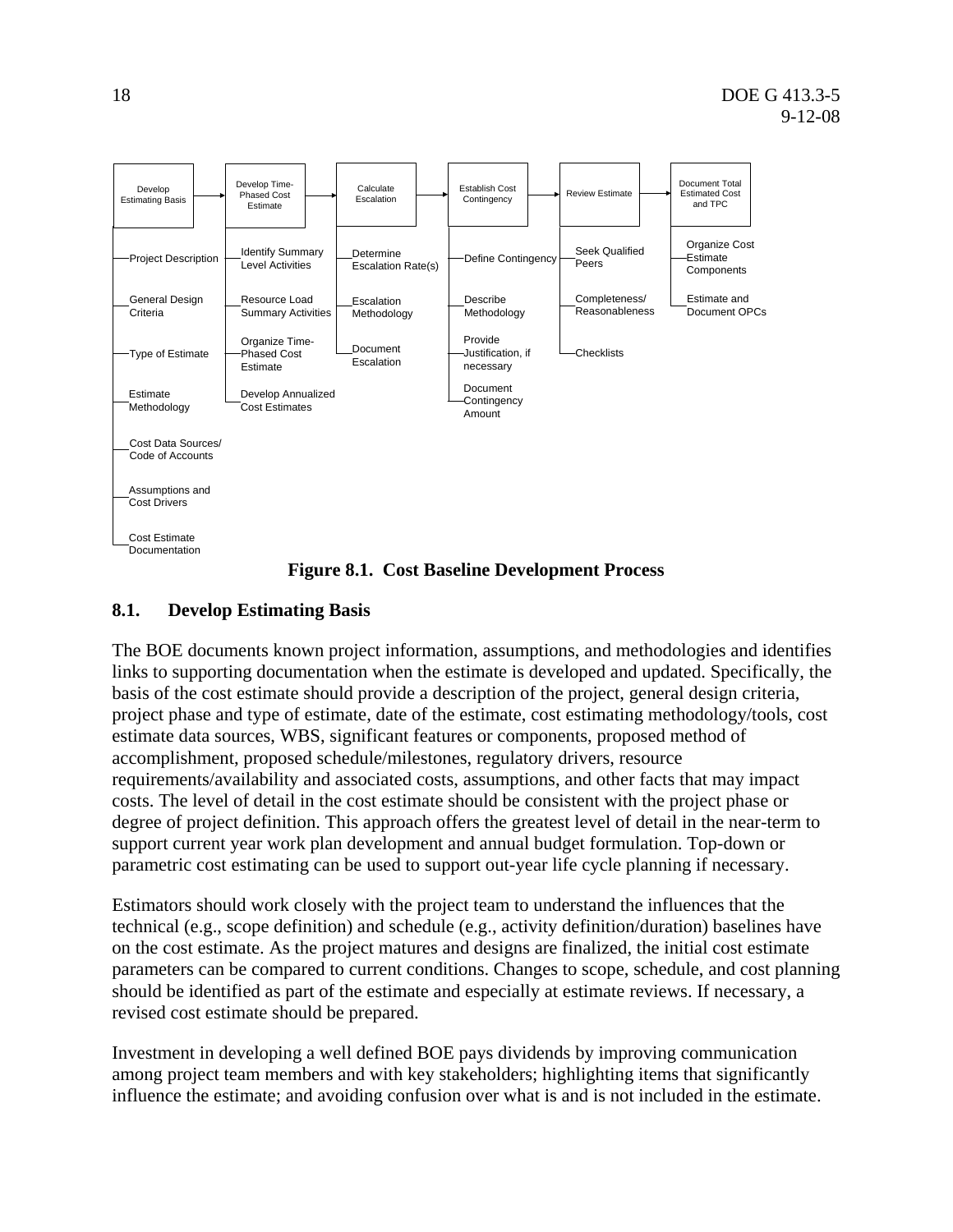

**Figure 8.1. Cost Baseline Development Process** 

# **8.1. Develop Estimating Basis**

The BOE documents known project information, assumptions, and methodologies and identifies links to supporting documentation when the estimate is developed and updated. Specifically, the basis of the cost estimate should provide a description of the project, general design criteria, project phase and type of estimate, date of the estimate, cost estimating methodology/tools, cost estimate data sources, WBS, significant features or components, proposed method of accomplishment, proposed schedule/milestones, regulatory drivers, resource requirements/availability and associated costs, assumptions, and other facts that may impact costs. The level of detail in the cost estimate should be consistent with the project phase or degree of project definition. This approach offers the greatest level of detail in the near-term to support current year work plan development and annual budget formulation. Top-down or parametric cost estimating can be used to support out-year life cycle planning if necessary.

Estimators should work closely with the project team to understand the influences that the technical (e.g., scope definition) and schedule (e.g., activity definition/duration) baselines have on the cost estimate. As the project matures and designs are finalized, the initial cost estimate parameters can be compared to current conditions. Changes to scope, schedule, and cost planning should be identified as part of the estimate and especially at estimate reviews. If necessary, a revised cost estimate should be prepared.

Investment in developing a well defined BOE pays dividends by improving communication among project team members and with key stakeholders; highlighting items that significantly influence the estimate; and avoiding confusion over what is and is not included in the estimate.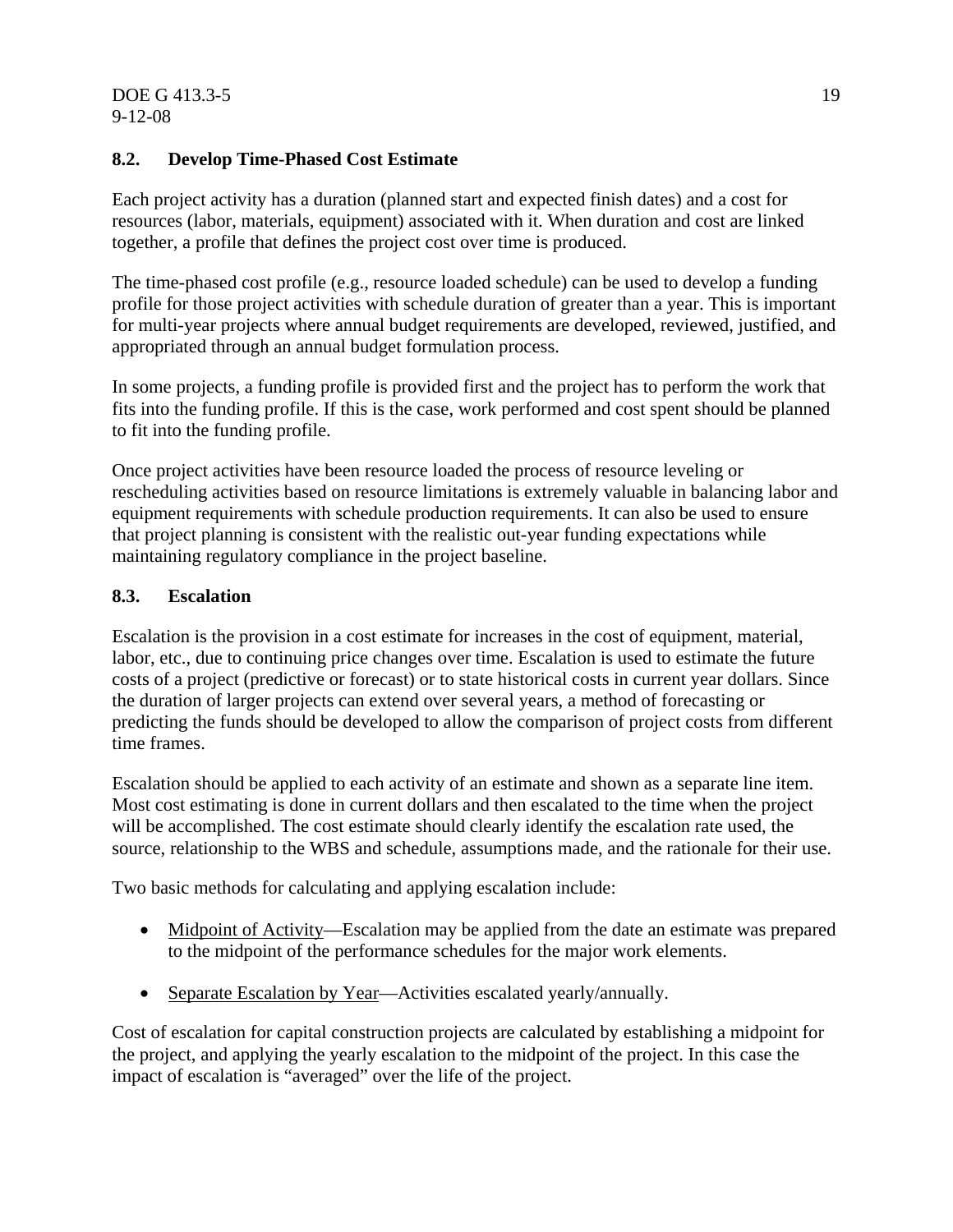#### **8.2. Develop Time-Phased Cost Estimate**

Each project activity has a duration (planned start and expected finish dates) and a cost for resources (labor, materials, equipment) associated with it. When duration and cost are linked together, a profile that defines the project cost over time is produced.

The time-phased cost profile (e.g., resource loaded schedule) can be used to develop a funding profile for those project activities with schedule duration of greater than a year. This is important for multi-year projects where annual budget requirements are developed, reviewed, justified, and appropriated through an annual budget formulation process.

In some projects, a funding profile is provided first and the project has to perform the work that fits into the funding profile. If this is the case, work performed and cost spent should be planned to fit into the funding profile.

Once project activities have been resource loaded the process of resource leveling or rescheduling activities based on resource limitations is extremely valuable in balancing labor and equipment requirements with schedule production requirements. It can also be used to ensure that project planning is consistent with the realistic out-year funding expectations while maintaining regulatory compliance in the project baseline.

#### **8.3. Escalation**

Escalation is the provision in a cost estimate for increases in the cost of equipment, material, labor, etc., due to continuing price changes over time. Escalation is used to estimate the future costs of a project (predictive or forecast) or to state historical costs in current year dollars. Since the duration of larger projects can extend over several years, a method of forecasting or predicting the funds should be developed to allow the comparison of project costs from different time frames.

Escalation should be applied to each activity of an estimate and shown as a separate line item. Most cost estimating is done in current dollars and then escalated to the time when the project will be accomplished. The cost estimate should clearly identify the escalation rate used, the source, relationship to the WBS and schedule, assumptions made, and the rationale for their use.

Two basic methods for calculating and applying escalation include:

- Midpoint of Activity—Escalation may be applied from the date an estimate was prepared to the midpoint of the performance schedules for the major work elements.
- Separate Escalation by Year—Activities escalated yearly/annually.

Cost of escalation for capital construction projects are calculated by establishing a midpoint for the project, and applying the yearly escalation to the midpoint of the project. In this case the impact of escalation is "averaged" over the life of the project.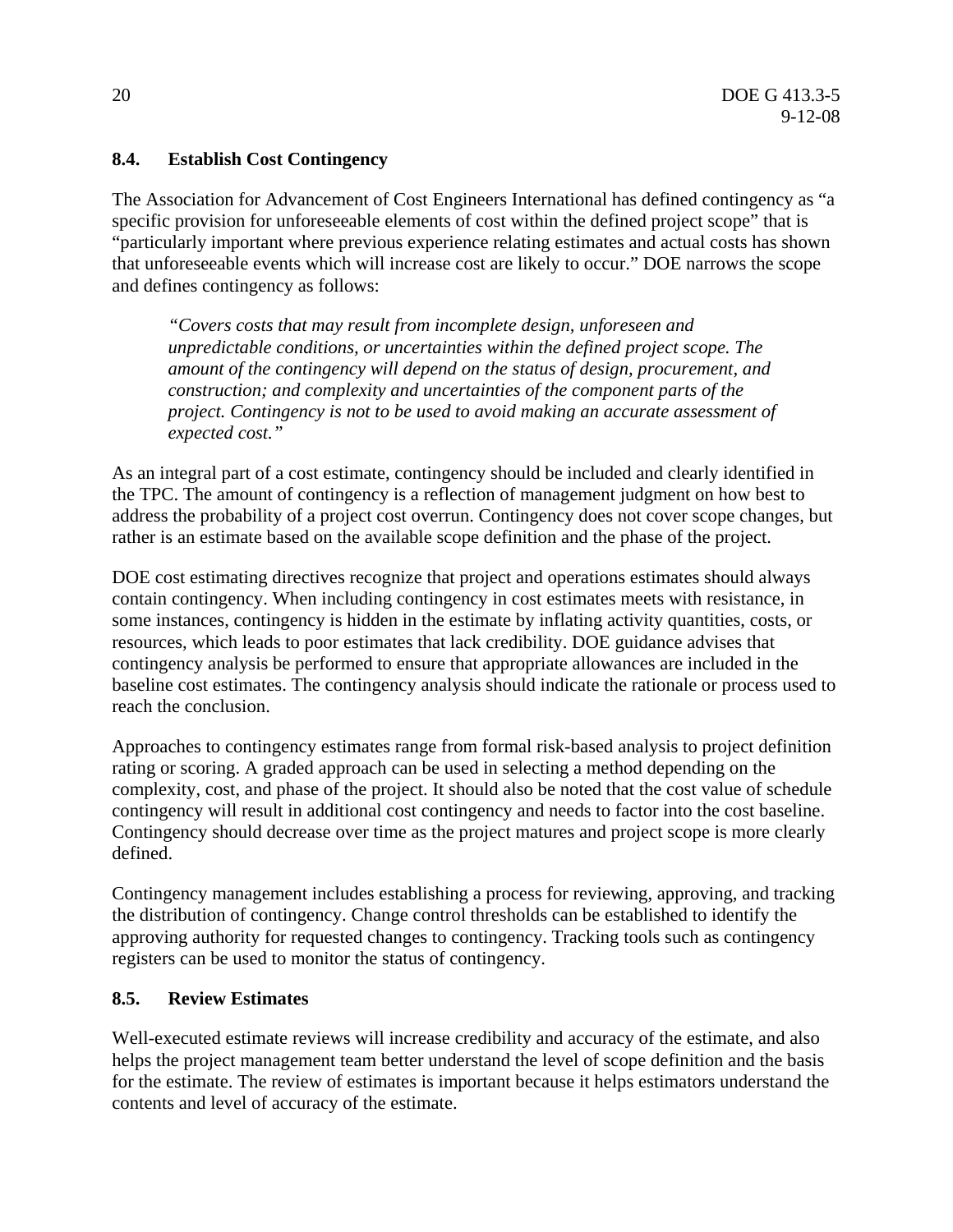#### **8.4. Establish Cost Contingency**

The Association for Advancement of Cost Engineers International has defined contingency as "a specific provision for unforeseeable elements of cost within the defined project scope" that is "particularly important where previous experience relating estimates and actual costs has shown that unforeseeable events which will increase cost are likely to occur." DOE narrows the scope and defines contingency as follows:

*"Covers costs that may result from incomplete design, unforeseen and unpredictable conditions, or uncertainties within the defined project scope. The amount of the contingency will depend on the status of design, procurement, and construction; and complexity and uncertainties of the component parts of the project. Contingency is not to be used to avoid making an accurate assessment of expected cost."* 

As an integral part of a cost estimate, contingency should be included and clearly identified in the TPC. The amount of contingency is a reflection of management judgment on how best to address the probability of a project cost overrun. Contingency does not cover scope changes, but rather is an estimate based on the available scope definition and the phase of the project.

DOE cost estimating directives recognize that project and operations estimates should always contain contingency. When including contingency in cost estimates meets with resistance, in some instances, contingency is hidden in the estimate by inflating activity quantities, costs, or resources, which leads to poor estimates that lack credibility. DOE guidance advises that contingency analysis be performed to ensure that appropriate allowances are included in the baseline cost estimates. The contingency analysis should indicate the rationale or process used to reach the conclusion.

Approaches to contingency estimates range from formal risk-based analysis to project definition rating or scoring. A graded approach can be used in selecting a method depending on the complexity, cost, and phase of the project. It should also be noted that the cost value of schedule contingency will result in additional cost contingency and needs to factor into the cost baseline. Contingency should decrease over time as the project matures and project scope is more clearly defined.

Contingency management includes establishing a process for reviewing, approving, and tracking the distribution of contingency. Change control thresholds can be established to identify the approving authority for requested changes to contingency. Tracking tools such as contingency registers can be used to monitor the status of contingency.

#### **8.5. Review Estimates**

Well-executed estimate reviews will increase credibility and accuracy of the estimate, and also helps the project management team better understand the level of scope definition and the basis for the estimate. The review of estimates is important because it helps estimators understand the contents and level of accuracy of the estimate.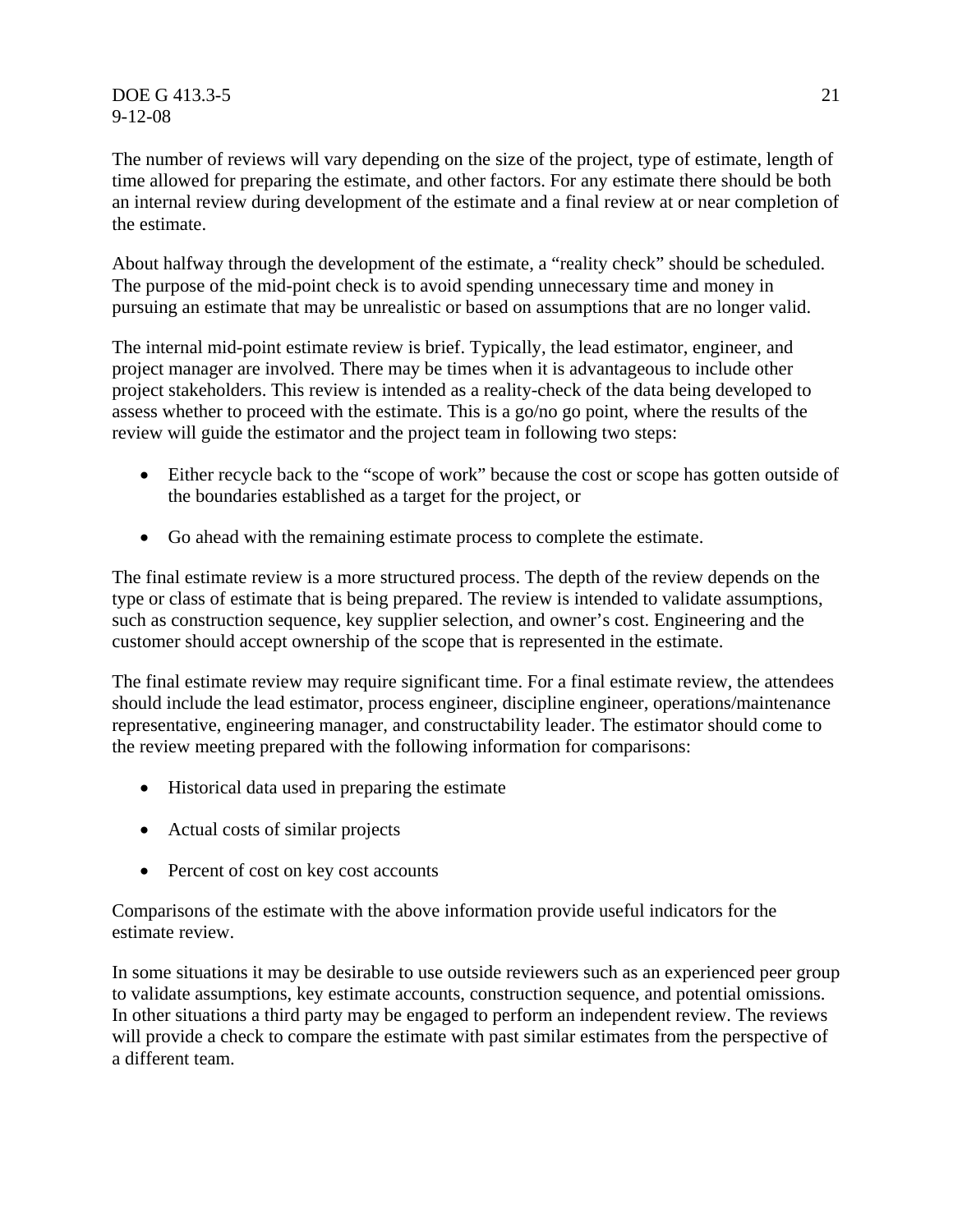DOE G 413.3-5 21 9-12-08

The number of reviews will vary depending on the size of the project, type of estimate, length of time allowed for preparing the estimate, and other factors. For any estimate there should be both an internal review during development of the estimate and a final review at or near completion of the estimate.

About halfway through the development of the estimate, a "reality check" should be scheduled. The purpose of the mid-point check is to avoid spending unnecessary time and money in pursuing an estimate that may be unrealistic or based on assumptions that are no longer valid.

The internal mid-point estimate review is brief. Typically, the lead estimator, engineer, and project manager are involved. There may be times when it is advantageous to include other project stakeholders. This review is intended as a reality-check of the data being developed to assess whether to proceed with the estimate. This is a go/no go point, where the results of the review will guide the estimator and the project team in following two steps:

- Either recycle back to the "scope of work" because the cost or scope has gotten outside of the boundaries established as a target for the project, or
- Go ahead with the remaining estimate process to complete the estimate.

The final estimate review is a more structured process. The depth of the review depends on the type or class of estimate that is being prepared. The review is intended to validate assumptions, such as construction sequence, key supplier selection, and owner's cost. Engineering and the customer should accept ownership of the scope that is represented in the estimate.

The final estimate review may require significant time. For a final estimate review, the attendees should include the lead estimator, process engineer, discipline engineer, operations/maintenance representative, engineering manager, and constructability leader. The estimator should come to the review meeting prepared with the following information for comparisons:

- Historical data used in preparing the estimate
- Actual costs of similar projects
- Percent of cost on key cost accounts

Comparisons of the estimate with the above information provide useful indicators for the estimate review.

In some situations it may be desirable to use outside reviewers such as an experienced peer group to validate assumptions, key estimate accounts, construction sequence, and potential omissions. In other situations a third party may be engaged to perform an independent review. The reviews will provide a check to compare the estimate with past similar estimates from the perspective of a different team.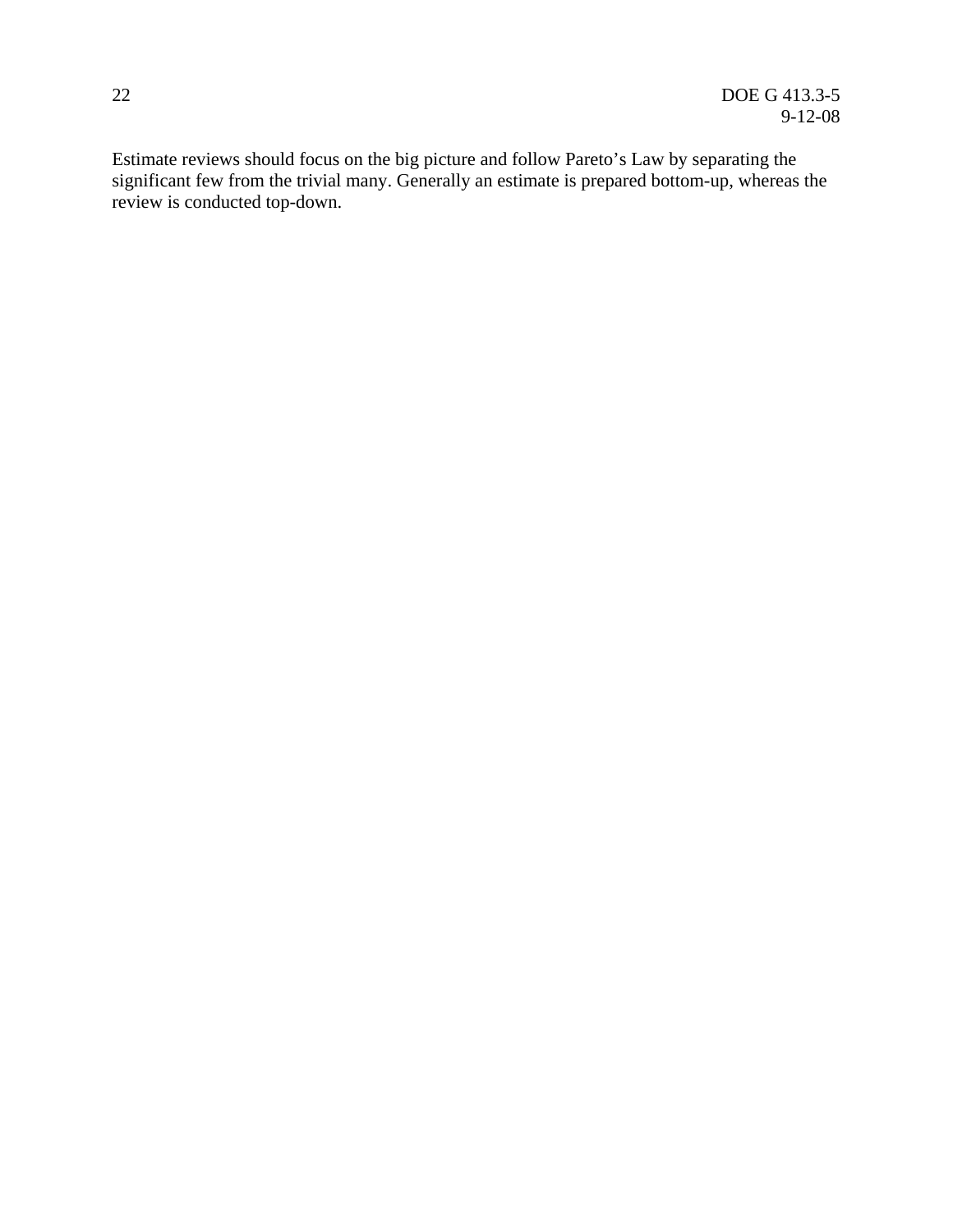Estimate reviews should focus on the big picture and follow Pareto's Law by separating the significant few from the trivial many. Generally an estimate is prepared bottom-up, whereas the review is conducted top-down.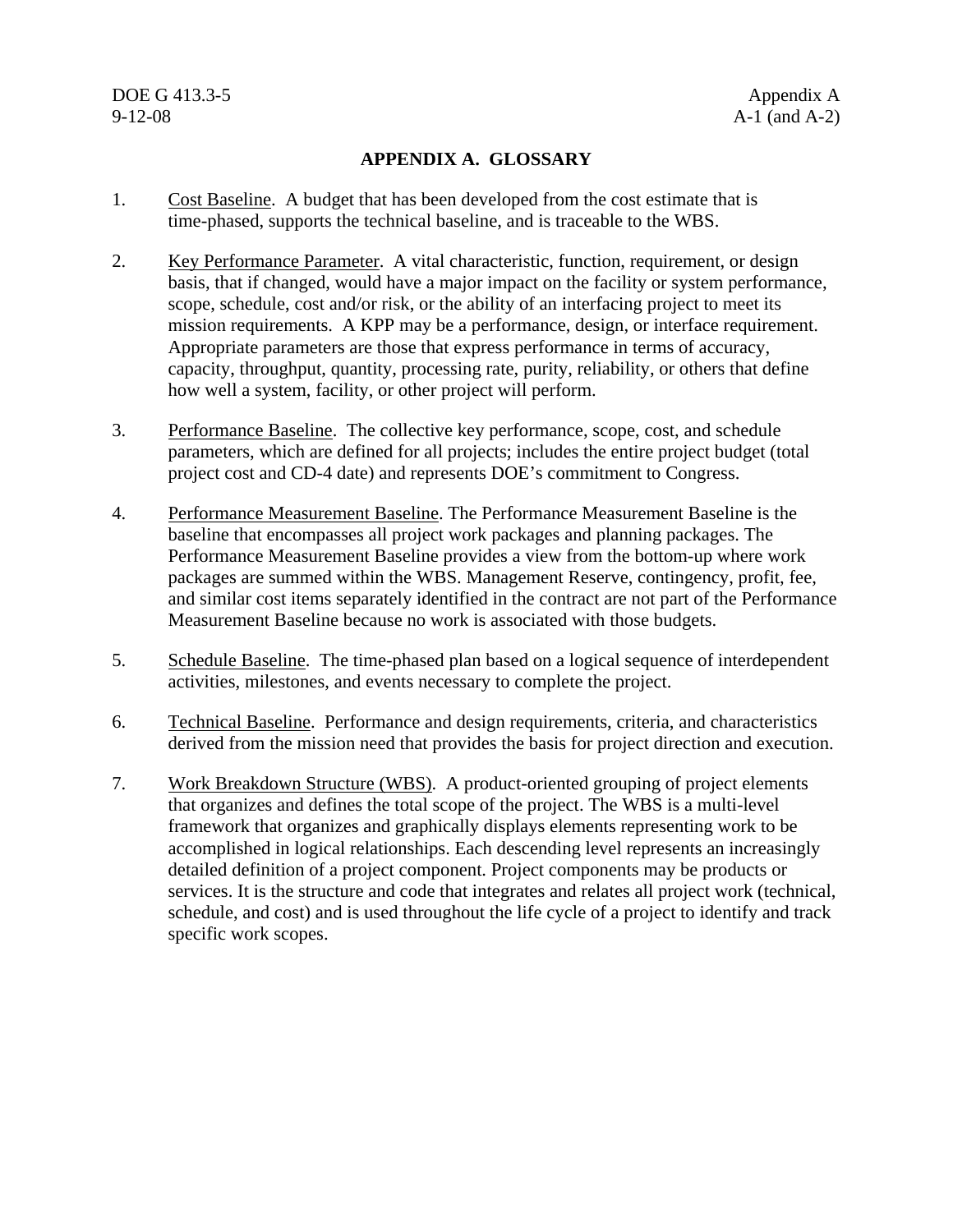#### **APPENDIX A. GLOSSARY**

- 1. Cost Baseline. A budget that has been developed from the cost estimate that is time-phased, supports the technical baseline, and is traceable to the WBS.
- 2. Key Performance Parameter. A vital characteristic, function, requirement, or design basis, that if changed, would have a major impact on the facility or system performance, scope, schedule, cost and/or risk, or the ability of an interfacing project to meet its mission requirements. A KPP may be a performance, design, or interface requirement. Appropriate parameters are those that express performance in terms of accuracy, capacity, throughput, quantity, processing rate, purity, reliability, or others that define how well a system, facility, or other project will perform.
- 3. Performance Baseline. The collective key performance, scope, cost, and schedule parameters, which are defined for all projects; includes the entire project budget (total project cost and CD-4 date) and represents DOE's commitment to Congress.
- 4. Performance Measurement Baseline. The Performance Measurement Baseline is the baseline that encompasses all project work packages and planning packages. The Performance Measurement Baseline provides a view from the bottom-up where work packages are summed within the WBS. Management Reserve, contingency, profit, fee, and similar cost items separately identified in the contract are not part of the Performance Measurement Baseline because no work is associated with those budgets.
- 5. Schedule Baseline. The time-phased plan based on a logical sequence of interdependent activities, milestones, and events necessary to complete the project.
- 6. Technical Baseline. Performance and design requirements, criteria, and characteristics derived from the mission need that provides the basis for project direction and execution.
- 7. Work Breakdown Structure (WBS). A product-oriented grouping of project elements that organizes and defines the total scope of the project. The WBS is a multi-level framework that organizes and graphically displays elements representing work to be accomplished in logical relationships. Each descending level represents an increasingly detailed definition of a project component. Project components may be products or services. It is the structure and code that integrates and relates all project work (technical, schedule, and cost) and is used throughout the life cycle of a project to identify and track specific work scopes.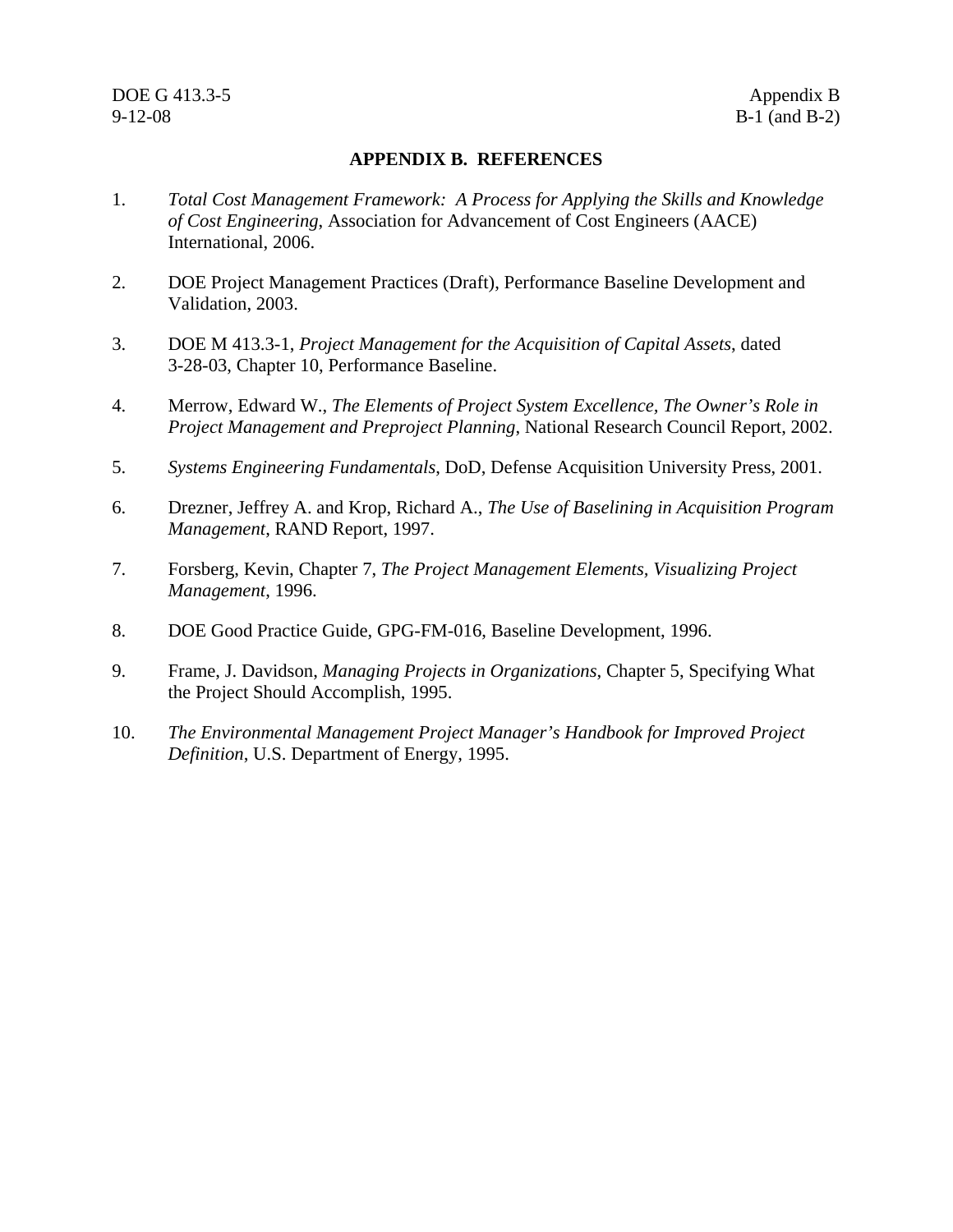#### **APPENDIX B. REFERENCES**

- 1. *Total Cost Management Framework: A Process for Applying the Skills and Knowledge of Cost Engineering*, Association for Advancement of Cost Engineers (AACE) International, 2006.
- 2. DOE Project Management Practices (Draft), Performance Baseline Development and Validation, 2003.
- 3. DOE M 413.3-1, *Project Management for the Acquisition of Capital Assets*, dated 3-28-03, Chapter 10, Performance Baseline.
- 4. Merrow, Edward W., *The Elements of Project System Excellence, The Owner's Role in Project Management and Preproject Planning*, National Research Council Report, 2002.
- 5. *Systems Engineering Fundamentals*, DoD, Defense Acquisition University Press, 2001.
- 6. Drezner, Jeffrey A. and Krop, Richard A., *The Use of Baselining in Acquisition Program Management*, RAND Report, 1997.
- 7. Forsberg, Kevin, Chapter 7, *The Project Management Elements, Visualizing Project Management*, 1996.
- 8. DOE Good Practice Guide, GPG-FM-016, Baseline Development, 1996.
- 9. Frame, J. Davidson, *Managing Projects in Organizations*, Chapter 5, Specifying What the Project Should Accomplish, 1995.
- 10. *The Environmental Management Project Manager's Handbook for Improved Project Definition*, U.S. Department of Energy, 1995.